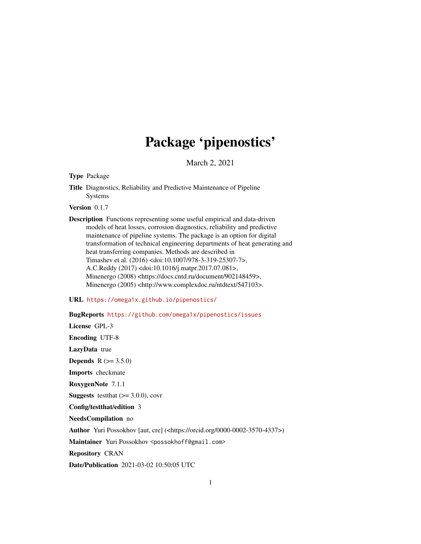## Package 'pipenostics'

March 2, 2021

<span id="page-0-0"></span>Type Package

Title Diagnostics, Reliability and Predictive Maintenance of Pipeline Systems

Version 0.1.7

Description Functions representing some useful empirical and data-driven models of heat losses, corrosion diagnostics, reliability and predictive maintenance of pipeline systems. The package is an option for digital transformation of technical engineering departments of heat generating and heat transferring companies. Methods are described in Timashev et al. (2016) <doi:10.1007/978-3-319-25307-7>, A.C.Reddy (2017) <doi:10.1016/j.matpr.2017.07.081>, Minenergo (2008) <https://docs.cntd.ru/document/902148459>, Minenergo (2005) <http://www.complexdoc.ru/ntdtext/547103>.

URL <https://omega1x.github.io/pipenostics/>

BugReports <https://github.com/omega1x/pipenostics/issues>

License GPL-3

Encoding UTF-8

LazyData true

**Depends**  $R (= 3.5.0)$ 

Imports checkmate

RoxygenNote 7.1.1

**Suggests** test that  $(>= 3.0.0)$ , covr

Config/testthat/edition 3

NeedsCompilation no

Author Yuri Possokhov [aut, cre] (<https://orcid.org/0000-0002-3570-4337>)

Maintainer Yuri Possokhov <possokhoff@gmail.com>

Repository CRAN

Date/Publication 2021-03-02 10:50:05 UTC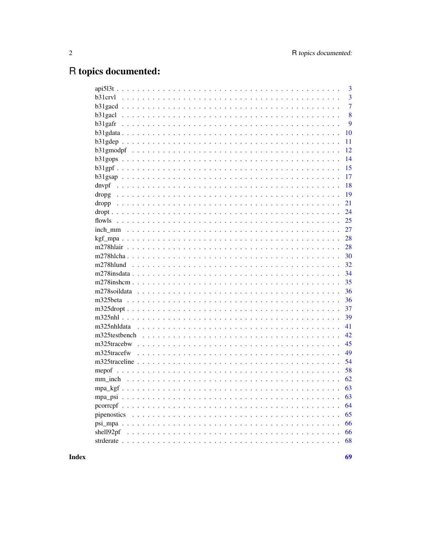## R topics documented:

|             |  | 3              |
|-------------|--|----------------|
| b31crvl     |  | $\overline{3}$ |
|             |  | $\overline{7}$ |
|             |  | 8              |
|             |  | 9              |
|             |  | 10             |
|             |  | 11             |
|             |  | 12             |
|             |  | 14             |
|             |  | 15             |
|             |  | 17             |
|             |  | 18             |
|             |  | 19             |
|             |  | 21             |
|             |  | 24             |
|             |  | 25             |
|             |  | 27             |
|             |  | 28             |
|             |  | 28             |
|             |  | 30             |
|             |  | 32             |
|             |  | 34             |
|             |  | 35             |
|             |  | 36             |
|             |  | 36             |
|             |  | 37             |
|             |  | 39             |
|             |  | 41             |
|             |  | 42             |
|             |  | 45             |
|             |  | 49             |
|             |  | 54             |
| mepof       |  | 58             |
|             |  | 62             |
|             |  | 63             |
|             |  | 63             |
|             |  | 64             |
| pipenostics |  | 65             |
|             |  | 66             |
| shell92pf   |  | 66             |
|             |  | 68             |
|             |  |                |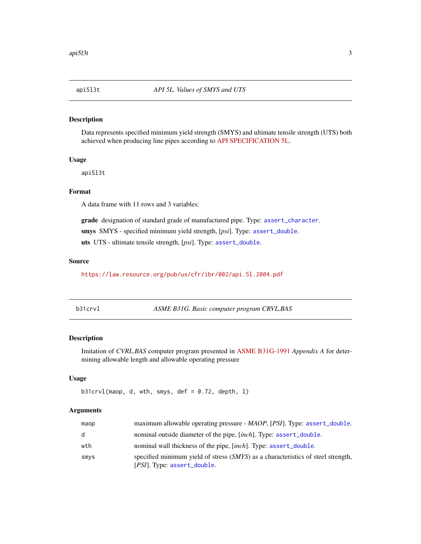<span id="page-2-0"></span>

#### Description

Data represents specified minimum yield strength (SMYS) and ultimate tensile strength (UTS) both achieved when producing line pipes according to [API SPECIFICATION 5L.](https://law.resource.org/pub/us/cfr/ibr/002/api.5l.2004.pdf)

#### Usage

api5l3t

### Format

A data frame with 11 rows and 3 variables:

grade designation of standard grade of manufactured pipe. Type: [assert\\_character](#page-0-0).

smys SMYS - specified minimum yield strength, [*psi*]. Type: [assert\\_double](#page-0-0).

uts UTS - ultimate tensile strength, [*psi*]. Type: [assert\\_double](#page-0-0).

### Source

<https://law.resource.org/pub/us/cfr/ibr/002/api.5l.2004.pdf>

|  | p31crvl |  |
|--|---------|--|
|--|---------|--|

<span id="page-2-1"></span>b31crvl *ASME B31G. Basic computer program CRVL.BAS*

### Description

Imitation of *CVRL.BAS* computer program presented in [ASME B31G-1991](https://law.resource.org/pub/us/cfr/ibr/002/asme.b31g.1991.pdf) *Appendix A* for determining allowable length and allowable operating pressure

#### Usage

```
b31crvl(maop, d, wth, smys, def = 0.72, depth, 1)
```
#### Arguments

| maop | maximum allowable operating pressure - MAOP, [PSI]. Type: assert_double.                                                 |
|------|--------------------------------------------------------------------------------------------------------------------------|
| d    | nominal outside diameter of the pipe, [inch]. Type: assert_double.                                                       |
| wth  | nominal wall thickness of the pipe, [inch]. Type: assert_double.                                                         |
| smys | specified minimum yield of stress (SMYS) as a characteristics of steel strength,<br>[ <i>PSI</i> ]. Type: assert_double. |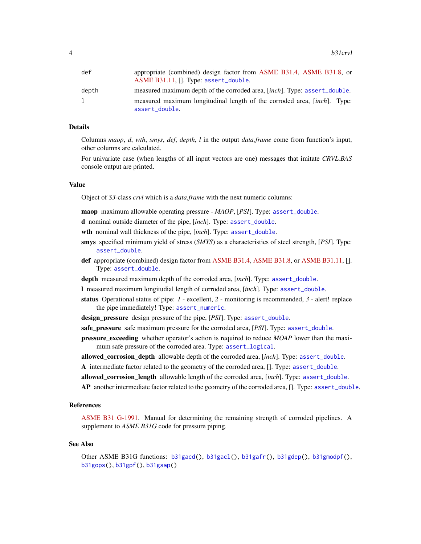<span id="page-3-0"></span>

| def   | appropriate (combined) design factor from ASME B31.4, ASME B31.8, or              |
|-------|-----------------------------------------------------------------------------------|
|       | ASME B31.11, []. Type: assert_double.                                             |
| depth | measured maximum depth of the corroded area, [inch]. Type: assert_double.         |
| 1     | measured maximum longitudinal length of the corroded area, [ <i>inch</i> ]. Type: |
|       | assert_double.                                                                    |

### Details

Columns *maop*, *d*, *wth*, *smys*, *def*, *depth*, *l* in the output *data.frame* come from function's input, other columns are calculated.

For univariate case (when lengths of all input vectors are one) messages that imitate *CRVL.BAS* console output are printed.

#### Value

Object of *S3*-class *crvl* which is a *data.frame* with the next numeric columns:

maop maximum allowable operating pressure - *MAOP*, [*PSI*]. Type: [assert\\_double](#page-0-0).

- d nominal outside diameter of the pipe, [*inch*]. Type: [assert\\_double](#page-0-0).
- wth nominal wall thickness of the pipe, [*inch*]. Type: [assert\\_double](#page-0-0).
- smys specified minimum yield of stress (*SMYS*) as a characteristics of steel strength, [*PSI*]. Type: [assert\\_double](#page-0-0).
- def appropriate (combined) design factor from [ASME B31.4,](https://law.resource.org/pub/us/cfr/ibr/002/asme.b31.4.2002.pdf) [ASME B31.8,](https://law.resource.org/pub/us/cfr/ibr/002/asme.b31.8.2003.pdf) or [ASME B31.11,](https://www.asme.org/codes-standards/find-codes-standards/b31-11-slurry-transportation-piping-systems) []. Type: [assert\\_double](#page-0-0).
- depth measured maximum depth of the corroded area, [*inch*]. Type: [assert\\_double](#page-0-0).
- l measured maximum longitudial length of corroded area, [*inch*]. Type: [assert\\_double](#page-0-0).
- status Operational status of pipe: *1* excellent, *2* monitoring is recommended, *3* alert! replace the pipe immediately! Type: [assert\\_numeric](#page-0-0).

design\_pressure design pressure of the pipe, [*PSI*]. Type: [assert\\_double](#page-0-0).

safe\_pressure safe maximum pressure for the corroded area, [*PSI*]. Type: [assert\\_double](#page-0-0).

pressure\_exceeding whether operator's action is required to reduce *MOAP* lower than the maximum safe pressure of the corroded area. Type: [assert\\_logical](#page-0-0).

allowed\_corrosion\_depth allowable depth of the corroded area, [*inch*]. Type: [assert\\_double](#page-0-0).

A intermediate factor related to the geometry of the corroded area, []. Type: [assert\\_double](#page-0-0).

allowed\_corrosion\_length allowable length of the corroded area, [*inch*]. Type: [assert\\_double](#page-0-0).

AP another intermediate factor related to the geometry of the corroded area, []. Type: [assert\\_double](#page-0-0).

#### References

[ASME B31 G-1991.](https://law.resource.org/pub/us/cfr/ibr/002/asme.b31g.1991.pdf) Manual for determining the remaining strength of corroded pipelines. A supplement to *ASME B31G* code for pressure piping.

#### See Also

Other ASME B31G functions: [b31gacd\(](#page-6-1)), [b31gacl\(](#page-7-1)), [b31gafr\(](#page-8-1)), [b31gdep\(](#page-10-1)), [b31gmodpf\(](#page-11-1)), [b31gops\(](#page-13-1)), [b31gpf\(](#page-14-1)), [b31gsap\(](#page-16-1))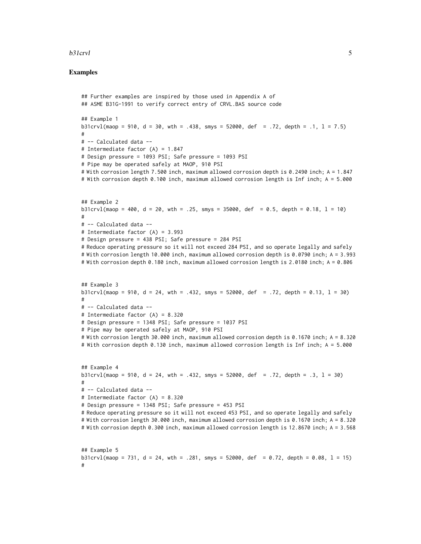### b31crvl 5

### Examples

#

## Further examples are inspired by those used in Appendix A of ## ASME B31G-1991 to verify correct entry of CRVL.BAS source code ## Example 1 b31crvl(maop = 910,  $d = 30$ , wth = .438, smys = 52000, def = .72, depth = .1,  $l = 7.5$ ) # # -- Calculated data -- # Intermediate factor (A) = 1.847 # Design pressure = 1093 PSI; Safe pressure = 1093 PSI # Pipe may be operated safely at MAOP, 910 PSI # With corrosion length 7.500 inch, maximum allowed corrosion depth is 0.2490 inch; A = 1.847 # With corrosion depth 0.100 inch, maximum allowed corrosion length is Inf inch; A = 5.000 ## Example 2  $b31crv1(maop = 400, d = 20, wh = .25, smys = 35000, def = 0.5, depth = 0.18, 1 = 10)$ # # -- Calculated data -- # Intermediate factor (A) = 3.993 # Design pressure = 438 PSI; Safe pressure = 284 PSI # Reduce operating pressure so it will not exceed 284 PSI, and so operate legally and safely # With corrosion length 10.000 inch, maximum allowed corrosion depth is 0.0790 inch; A = 3.993 # With corrosion depth 0.180 inch, maximum allowed corrosion length is 2.0180 inch; A = 0.806 ## Example 3 b31crvl(maop = 910, d = 24, wth = .432, smys = 52000, def = .72, depth = 0.13, 1 = 30) # # -- Calculated data -- # Intermediate factor (A) = 8.320 # Design pressure = 1348 PSI; Safe pressure = 1037 PSI # Pipe may be operated safely at MAOP, 910 PSI # With corrosion length 30.000 inch, maximum allowed corrosion depth is 0.1670 inch; A = 8.320 # With corrosion depth 0.130 inch, maximum allowed corrosion length is Inf inch; A = 5.000 ## Example 4 b31crvl(maop = 910,  $d = 24$ , wth = .432, smys = 52000,  $def = .72$ , depth = .3,  $l = 30$ ) # # -- Calculated data -- # Intermediate factor (A) = 8.320 # Design pressure = 1348 PSI; Safe pressure = 453 PSI # Reduce operating pressure so it will not exceed 453 PSI, and so operate legally and safely # With corrosion length 30.000 inch, maximum allowed corrosion depth is 0.1670 inch; A = 8.320 # With corrosion depth 0.300 inch, maximum allowed corrosion length is 12.8670 inch; A = 3.568 ## Example 5 b31crvl(maop = 731, d = 24, wth = .281, smys = 52000, def = 0.72, depth = 0.08, 1 = 15)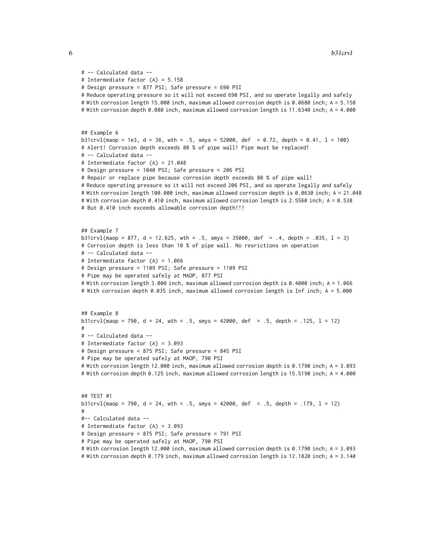```
# -- Calculated data --
# Intermediate factor (A) = 5.158
# Design pressure = 877 PSI; Safe pressure = 690 PSI
# Reduce operating pressure so it will not exceed 690 PSI, and so operate legally and safely
# With corrosion length 15.000 inch, maximum allowed corrosion depth is 0.0680 inch; A = 5.158
# With corrosion depth 0.080 inch, maximum allowed corrosion length is 11.6340 inch; A = 4.000
## Example 6
b31crvl(maop = 1e3, d = 36, wth = .5, smys = 52000, def = 0.72, depth = 0.41, l = 100)
# Alert! Corrosion depth exceeds 80 % of pipe wall! Pipe must be replaced!
# -- Calculated data --
# Intermediate factor (A) = 21.048
# Design pressure = 1040 PSI; Safe pressure = 206 PSI
# Repair or replace pipe because corrosion depth exceeds 80 % of pipe wall!
# Reduce operating pressure so it will not exceed 206 PSI, and so operate legally and safely
# With corrosion length 100.000 inch, maximum allowed corrosion depth is 0.0630 inch; A = 21.048
# With corrosion depth 0.410 inch, maximum allowed corrosion length is 2.5560 inch; A = 0.538
# But 0.410 inch exceeds allowable corrosion depth!!!
## Example 7
b31crvl(maop = 877, d = 12.625, wth = .5, smys = 35000, def = .4, depth = .035, l = 3)
# Corrosion depth is less than 10 % of pipe wall. No resrictions on operation
# -- Calculated data --
# Intermediate factor (A) = 1.066
# Design pressure = 1109 PSI; Safe pressure = 1109 PSI
# Pipe may be operated safely at MAOP, 877 PSI
# With corrosion length 3.000 inch, maximum allowed corrosion depth is 0.4000 inch; A = 1.066
# With corrosion depth 0.035 inch, maximum allowed corrosion length is Inf inch; A = 5.000
## Example 8
b31crvl(maop = 790, d = 24, wth = .5, smys = 42000, def = .5, depth = .125, l = 12)
#
# -- Calculated data --
# Intermediate factor (A) = 3.093
# Design pressure = 875 PSI; Safe pressure = 845 PSI
# Pipe may be operated safely at MAOP, 790 PSI
# With corrosion length 12.000 inch, maximum allowed corrosion depth is 0.1790 inch; A = 3.093
# With corrosion depth 0.125 inch, maximum allowed corrosion length is 15.5190 inch; A = 4.000
## TEST #1
b31crvl(maop = 790, d = 24, wth = .5, smys = 42000, def = .5, depth = .179, 1 = 12)
#
#-- Calculated data --
# Intermediate factor (A) = 3.093
# Design pressure = 875 PSI; Safe pressure = 791 PSI
# Pipe may be operated safely at MAOP, 790 PSI
# With corrosion length 12.000 inch, maximum allowed corrosion depth is 0.1790 inch; A = 3.093
# With corrosion depth 0.179 inch, maximum allowed corrosion length is 12.1820 inch; A = 3.140
```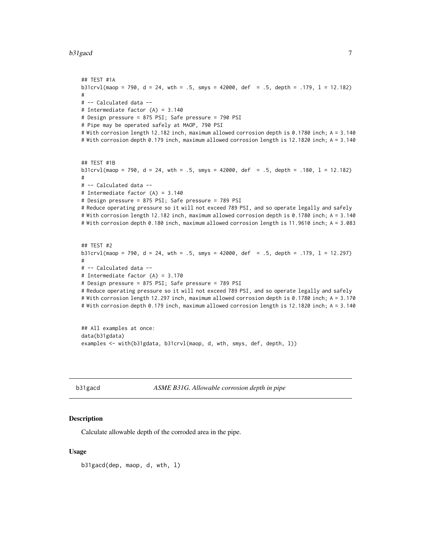#### <span id="page-6-0"></span>b31gacd 7 and 7 and 7 and 7 and 7 and 7 and 7 and 7 and 7 and 7 and 7 and 7 and 7 and 7 and 7 and 7 and 7 and 7

```
## TEST #1A
b31crvl(maop = 790, d = 24, wth = .5, smys = 42000, def = .5, depth = .179, l = 12.182)
#
# -- Calculated data --
# Intermediate factor (A) = 3.140
# Design pressure = 875 PSI; Safe pressure = 790 PSI
# Pipe may be operated safely at MAOP, 790 PSI
# With corrosion length 12.182 inch, maximum allowed corrosion depth is 0.1780 inch; A = 3.140
# With corrosion depth 0.179 inch, maximum allowed corrosion length is 12.1820 inch; A = 3.140
## TEST #1B
b31crv1(maop = 790, d = 24, with = .5, smys = 42000, def = .5, depth = .180, 1 = 12.182)#
# -- Calculated data --
# Intermediate factor (A) = 3.140
# Design pressure = 875 PSI; Safe pressure = 789 PSI
# Reduce operating pressure so it will not exceed 789 PSI, and so operate legally and safely
# With corrosion length 12.182 inch, maximum allowed corrosion depth is 0.1780 inch; A = 3.140
# With corrosion depth 0.180 inch, maximum allowed corrosion length is 11.9610 inch; A = 3.083
## TEST #2
b31crvl(maop = 790, d = 24, wth = .5, smys = 42000, def = .5, depth = .179, l = 12.297)
#
# -- Calculated data --
# Intermediate factor (A) = 3.170
# Design pressure = 875 PSI; Safe pressure = 789 PSI
# Reduce operating pressure so it will not exceed 789 PSI, and so operate legally and safely
# With corrosion length 12.297 inch, maximum allowed corrosion depth is 0.1780 inch; A = 3.170
# With corrosion depth 0.179 inch, maximum allowed corrosion length is 12.1820 inch; A = 3.140
```

```
## All examples at once:
data(b31gdata)
examples <- with(b31gdata, b31crvl(maop, d, wth, smys, def, depth, l))
```
<span id="page-6-1"></span>b31gacd *ASME B31G. Allowable corrosion depth in pipe*

### Description

Calculate allowable depth of the corroded area in the pipe.

#### Usage

b31gacd(dep, maop, d, wth, l)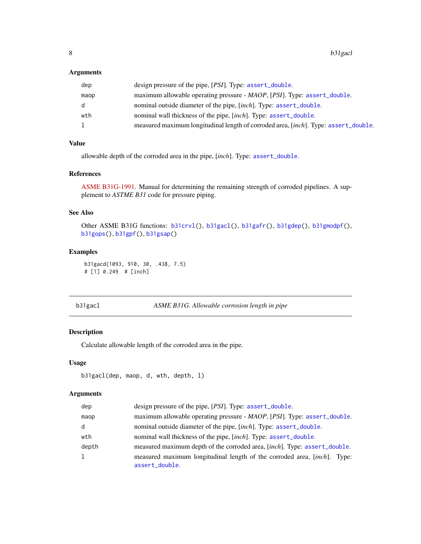### <span id="page-7-0"></span>Arguments

| dep  | design pressure of the pipe, [PSI]. Type: assert_double.                            |
|------|-------------------------------------------------------------------------------------|
| maop | maximum allowable operating pressure - MAOP, [PSI]. Type: assert_double.            |
| d.   | nominal outside diameter of the pipe, [inch]. Type: assert_double.                  |
| wth  | nominal wall thickness of the pipe, [inch]. Type: assert_double.                    |
| 1    | measured maximum longitudinal length of corroded area, [inch]. Type: assert_double. |

### Value

allowable depth of the corroded area in the pipe, [*inch*]. Type: [assert\\_double](#page-0-0).

### References

[ASME B31G-1991.](https://law.resource.org/pub/us/cfr/ibr/002/asme.b31g.1991.pdf) Manual for determining the remaining strength of corroded pipelines. A supplement to *ASTME B31* code for pressure piping.

### See Also

Other ASME B31G functions: [b31crvl\(](#page-2-1)), [b31gacl\(](#page-7-1)), [b31gafr\(](#page-8-1)), [b31gdep\(](#page-10-1)), [b31gmodpf\(](#page-11-1)), [b31gops\(](#page-13-1)), [b31gpf\(](#page-14-1)), [b31gsap\(](#page-16-1))

### Examples

b31gacd(1093, 910, 30, .438, 7.5) # [1] 0.249 # [inch]

<span id="page-7-1"></span>b31gacl *ASME B31G. Allowable corrosion length in pipe*

### Description

Calculate allowable length of the corroded area in the pipe.

### Usage

```
b31gacl(dep, maop, d, wth, depth, l)
```
### Arguments

| dep   | design pressure of the pipe, [PSI]. Type: assert_double.                                   |
|-------|--------------------------------------------------------------------------------------------|
| maop  | maximum allowable operating pressure - MAOP, [PSI]. Type: assert_double.                   |
| d     | nominal outside diameter of the pipe, [inch]. Type: assert_double.                         |
| wth   | nominal wall thickness of the pipe, [inch]. Type: assert_double.                           |
| depth | measured maximum depth of the corroded area, [inch]. Type: assert_double.                  |
|       | measured maximum longitudinal length of the corroded area, [inch]. Type:<br>assert_double. |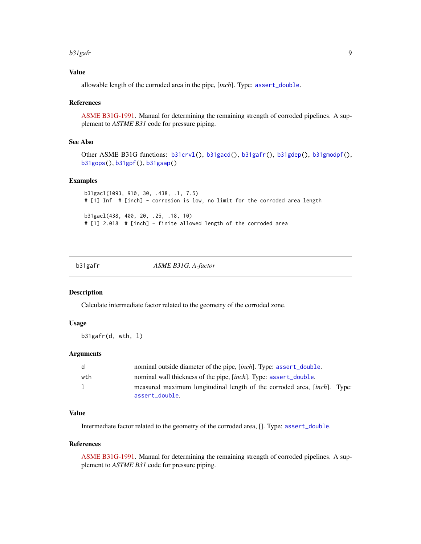#### <span id="page-8-0"></span>b31gafr 9

### Value

allowable length of the corroded area in the pipe, [*inch*]. Type: [assert\\_double](#page-0-0).

### References

[ASME B31G-1991.](https://law.resource.org/pub/us/cfr/ibr/002/asme.b31g.1991.pdf) Manual for determining the remaining strength of corroded pipelines. A supplement to *ASTME B31* code for pressure piping.

### See Also

```
Other ASME B31G functions: b31crvl(), b31gacd(), b31gafr(), b31gdep(), b31gmodpf(),
b31gops(), b31gpf(), b31gsap()
```
### Examples

```
b31gacl(1093, 910, 30, .438, .1, 7.5)
# [1] Inf # [inch] - corrosion is low, no limit for the corroded area length
b31gacl(438, 400, 20, .25, .18, 10)
# [1] 2.018 # [inch] - finite allowed length of the corroded area
```
<span id="page-8-1"></span>b31gafr *ASME B31G. A-factor*

#### Description

Calculate intermediate factor related to the geometry of the corroded zone.

### Usage

b31gafr(d, wth, l)

### **Arguments**

| d            | nominal outside diameter of the pipe, [inch]. Type: assert_double.       |
|--------------|--------------------------------------------------------------------------|
| wth          | nominal wall thickness of the pipe, [inch]. Type: assert_double.         |
| $\mathbf{1}$ | measured maximum longitudinal length of the corroded area, [inch]. Type: |
|              | assert double.                                                           |

### Value

Intermediate factor related to the geometry of the corroded area, []. Type: [assert\\_double](#page-0-0).

### References

[ASME B31G-1991.](https://law.resource.org/pub/us/cfr/ibr/002/asme.b31g.1991.pdf) Manual for determining the remaining strength of corroded pipelines. A supplement to *ASTME B31* code for pressure piping.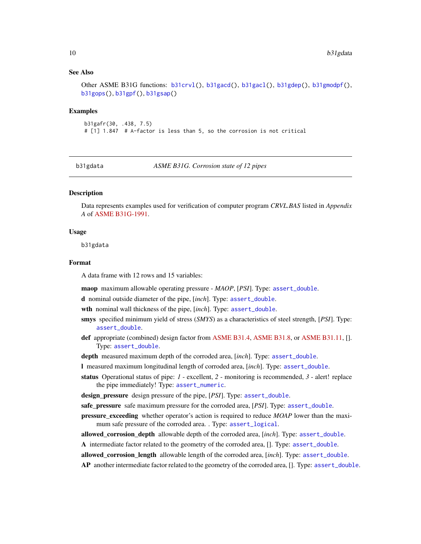### <span id="page-9-0"></span>See Also

```
Other ASME B31G functions: b31crvl(), b31gacd(), b31gacl(), b31gdep(), b31gmodpf(),
b31gops(), b31gpf(), b31gsap()
```
#### Examples

```
b31gafr(30, .438, 7.5)
# [1] 1.847 # A-factor is less than 5, so the corrosion is not critical
```
<span id="page-9-1"></span>

b31gdata *ASME B31G. Corrosion state of 12 pipes*

### Description

Data represents examples used for verification of computer program *CRVL.BAS* listed in *Appendix A* of [ASME B31G-1991.](https://law.resource.org/pub/us/cfr/ibr/002/asme.b31g.1991.pdf)

#### Usage

b31gdata

#### Format

A data frame with 12 rows and 15 variables:

maop maximum allowable operating pressure - *MAOP*, [*PSI*]. Type: [assert\\_double](#page-0-0).

d nominal outside diameter of the pipe, [*inch*]. Type: [assert\\_double](#page-0-0).

wth nominal wall thickness of the pipe, [*inch*]. Type: [assert\\_double](#page-0-0).

- smys specified minimum yield of stress (*SMYS*) as a characteristics of steel strength, [*PSI*]. Type: [assert\\_double](#page-0-0).
- def appropriate (combined) design factor from [ASME B31.4,](https://law.resource.org/pub/us/cfr/ibr/002/asme.b31.4.2002.pdf) [ASME B31.8,](https://law.resource.org/pub/us/cfr/ibr/002/asme.b31.8.2003.pdf) or [ASME B31.11,](https://www.asme.org/codes-standards/find-codes-standards/b31-11-slurry-transportation-piping-systems) []. Type: [assert\\_double](#page-0-0).

depth measured maximum depth of the corroded area, [*inch*]. Type: [assert\\_double](#page-0-0).

- l measured maximum longitudinal length of corroded area, [*inch*]. Type: [assert\\_double](#page-0-0).
- status Operational status of pipe: *1* excellent, *2* monitoring is recommended, *3* alert! replace the pipe immediately! Type: [assert\\_numeric](#page-0-0).
- design\_pressure design pressure of the pipe, [*PSI*]. Type: [assert\\_double](#page-0-0).

safe\_pressure safe maximum pressure for the corroded area, [*PSI*]. Type: [assert\\_double](#page-0-0).

pressure\_exceeding whether operator's action is required to reduce *MOAP* lower than the maximum safe pressure of the corroded area. . Type: [assert\\_logical](#page-0-0).

allowed\_corrosion\_depth allowable depth of the corroded area, [*inch*]. Type: [assert\\_double](#page-0-0).

A intermediate factor related to the geometry of the corroded area, []. Type: [assert\\_double](#page-0-0).

allowed corrosion length allowable length of the corroded area, [*inch*]. Type: [assert\\_double](#page-0-0).

AP another intermediate factor related to the geometry of the corroded area, []. Type: [assert\\_double](#page-0-0).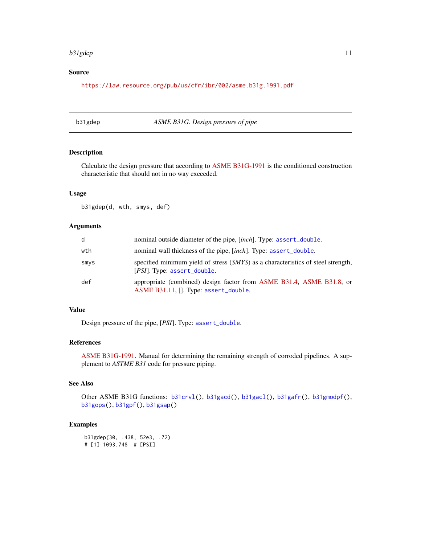#### <span id="page-10-0"></span>b31gdep 11

### Source

<https://law.resource.org/pub/us/cfr/ibr/002/asme.b31g.1991.pdf>

### <span id="page-10-1"></span>b31gdep *ASME B31G. Design pressure of pipe*

### Description

Calculate the design pressure that according to [ASME B31G-1991](https://law.resource.org/pub/us/cfr/ibr/002/asme.b31g.1991.pdf) is the conditioned construction characteristic that should not in no way exceeded.

### Usage

b31gdep(d, wth, smys, def)

### Arguments

| d    | nominal outside diameter of the pipe, [inch]. Type: assert_double.                                              |
|------|-----------------------------------------------------------------------------------------------------------------|
| wth  | nominal wall thickness of the pipe, [inch]. Type: assert_double.                                                |
| smys | specified minimum yield of stress (SMYS) as a characteristics of steel strength,<br>[PSI]. Type: assert_double. |
| def  | appropriate (combined) design factor from ASME B31.4, ASME B31.8, or<br>ASME B31.11, []. Type: assert_double.   |

### Value

Design pressure of the pipe, [*PSI*]. Type: [assert\\_double](#page-0-0).

#### References

[ASME B31G-1991.](https://law.resource.org/pub/us/cfr/ibr/002/asme.b31g.1991.pdf) Manual for determining the remaining strength of corroded pipelines. A supplement to *ASTME B31* code for pressure piping.

### See Also

Other ASME B31G functions: [b31crvl\(](#page-2-1)), [b31gacd\(](#page-6-1)), [b31gacl\(](#page-7-1)), [b31gafr\(](#page-8-1)), [b31gmodpf\(](#page-11-1)), [b31gops\(](#page-13-1)), [b31gpf\(](#page-14-1)), [b31gsap\(](#page-16-1))

### Examples

b31gdep(30, .438, 52e3, .72) # [1] 1093.748 # [PSI]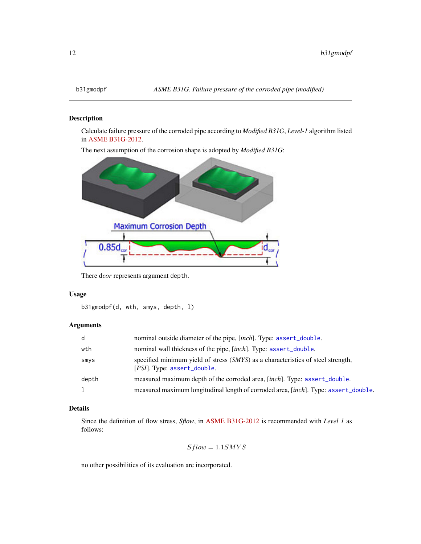### Description

Calculate failure pressure of the corroded pipe according to *Modified B31G*, *Level-1* algorithm listed in [ASME B31G-2012.](https://www.asme.org/codes-standards/find-codes-standards/b31g-manual-determining-remaining-strength-corroded-pipelines)

The next assumption of the corrosion shape is adopted by *Modified B31G*:



There d*cor* represents argument depth.

### Usage

```
b31gmodpf(d, wth, smys, depth, l)
```
### Arguments

| d     | nominal outside diameter of the pipe, [inch]. Type: assert_double.                                              |
|-------|-----------------------------------------------------------------------------------------------------------------|
| wth   | nominal wall thickness of the pipe, [inch]. Type: assert_double.                                                |
| smys  | specified minimum yield of stress (SMYS) as a characteristics of steel strength,<br>[PSI]. Type: assert_double. |
| depth | measured maximum depth of the corroded area, [inch]. Type: assert_double.                                       |
| 1     | measured maximum longitudinal length of corroded area, [inch]. Type: assert_double.                             |

### Details

Since the definition of flow stress, *Sflow*, in [ASME B31G-2012](https://www.asme.org/codes-standards/find-codes-standards/b31g-manual-determining-remaining-strength-corroded-pipelines) is recommended with *Level 1* as follows:

$$
Sflow = 1.1SMYS
$$

no other possibilities of its evaluation are incorporated.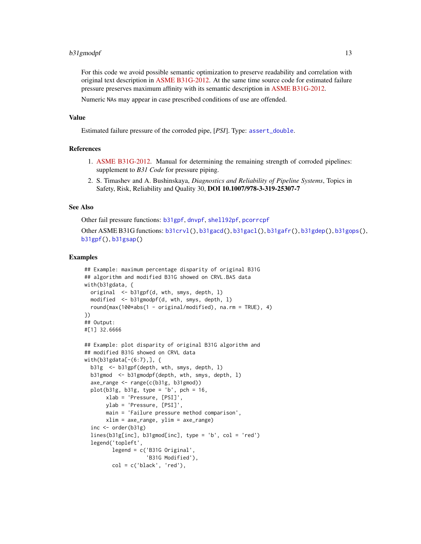### <span id="page-12-0"></span>b31gmodpf 13

For this code we avoid possible semantic optimization to preserve readability and correlation with original text description in [ASME B31G-2012.](https://www.asme.org/codes-standards/find-codes-standards/b31g-manual-determining-remaining-strength-corroded-pipelines) At the same time source code for estimated failure pressure preserves maximum affinity with its semantic description in [ASME B31G-2012.](https://www.asme.org/codes-standards/find-codes-standards/b31g-manual-determining-remaining-strength-corroded-pipelines)

Numeric NAs may appear in case prescribed conditions of use are offended.

#### Value

Estimated failure pressure of the corroded pipe, [*PSI*]. Type: [assert\\_double](#page-0-0).

#### References

- 1. [ASME B31G-2012.](https://www.techstreet.com/standards/asme-b31g-2012-r2017?product_id=1842873) Manual for determining the remaining strength of corroded pipelines: supplement to *B31 Code* for pressure piping.
- 2. S. Timashev and A. Bushinskaya, *Diagnostics and Reliability of Pipeline Systems*, Topics in Safety, Risk, Reliability and Quality 30, DOI 10.1007/978-3-319-25307-7

### See Also

Other fail pressure functions: [b31gpf](#page-14-1), [dnvpf](#page-17-1), [shell92pf](#page-65-1), [pcorrcpf](#page-63-1)

Other ASME B31G functions: [b31crvl\(](#page-2-1)), [b31gacd\(](#page-6-1)), [b31gacl\(](#page-7-1)), [b31gafr\(](#page-8-1)), [b31gdep\(](#page-10-1)), [b31gops\(](#page-13-1)), [b31gpf\(](#page-14-1)), [b31gsap\(](#page-16-1))

#### Examples

```
## Example: maximum percentage disparity of original B31G
## algorithm and modified B31G showed on CRVL.BAS data
with(b31gdata, {
  original <- b31gpf(d, wth, smys, depth, l)
  modified <- b31gmodpf(d, wth, smys, depth, l)
 round(max(100*abs(1 - original/modified), na.rm = TRUE), 4)
})
## Output:
#[1] 32.6666
## Example: plot disparity of original B31G algorithm and
## modified B31G showed on CRVL data
with(b31gdata[-(6:7),], {
  b31g <- b31gpf(depth, wth, smys, depth, l)
  b31gmod <- b31gmodpf(depth, wth, smys, depth, l)
  axe_range <- range(c(b31g, b31gmod))
  plot(b31g, b31g, type = 'b', pch = 16,
      xlab = 'Pressure, [PSI]',
       ylab = 'Pressure, [PSI]',
      main = 'Failure pressure method comparison',
      xlim = axe_range, ylim = axe_range)
  inc <- order(b31g)
  lines(b31g[inc], b31gmod[inc], type = 'b', col = 'red')
  legend('topleft',
        legend = c('B31G Original',
                    'B31G Modified'),
        col = c('black', 'red'),
```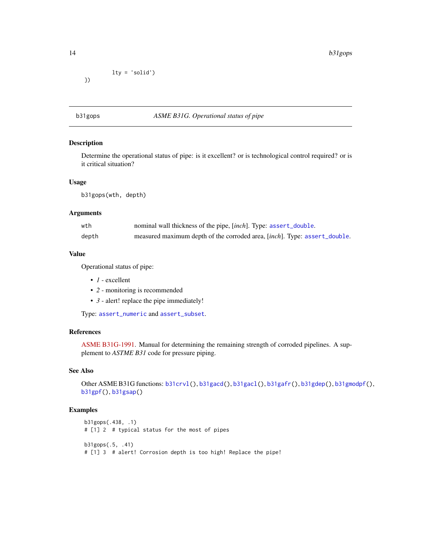lty = 'solid') })

### <span id="page-13-1"></span>b31gops *ASME B31G. Operational status of pipe*

### Description

Determine the operational status of pipe: is it excellent? or is technological control required? or is it critical situation?

### Usage

b31gops(wth, depth)

### Arguments

| wth   | nominal wall thickness of the pipe, [inch]. Type: assert_double.          |
|-------|---------------------------------------------------------------------------|
| depth | measured maximum depth of the corroded area, [inch]. Type: assert_double. |

### Value

Operational status of pipe:

- *1* excellent
- *2* monitoring is recommended
- *3* alert! replace the pipe immediately!

Type: [assert\\_numeric](#page-0-0) and [assert\\_subset](#page-0-0).

#### References

[ASME B31G-1991.](https://law.resource.org/pub/us/cfr/ibr/002/asme.b31g.1991.pdf) Manual for determining the remaining strength of corroded pipelines. A supplement to *ASTME B31* code for pressure piping.

### See Also

Other ASME B31G functions: [b31crvl\(](#page-2-1)), [b31gacd\(](#page-6-1)), [b31gacl\(](#page-7-1)), [b31gafr\(](#page-8-1)), [b31gdep\(](#page-10-1)), [b31gmodpf\(](#page-11-1)), [b31gpf\(](#page-14-1)), [b31gsap\(](#page-16-1))

### Examples

```
b31gops(.438, .1)
# [1] 2 # typical status for the most of pipes
b31gops(.5, .41)
# [1] 3 # alert! Corrosion depth is too high! Replace the pipe!
```
<span id="page-13-0"></span>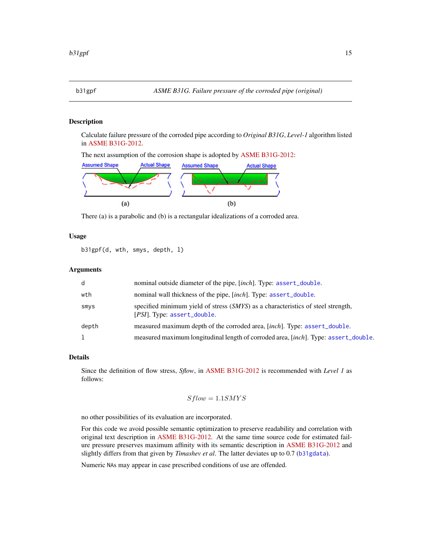### <span id="page-14-1"></span><span id="page-14-0"></span>Description

Calculate failure pressure of the corroded pipe according to *Original B31G*, *Level-1* algorithm listed in [ASME B31G-2012.](https://www.asme.org/codes-standards/find-codes-standards/b31g-manual-determining-remaining-strength-corroded-pipelines)

The next assumption of the corrosion shape is adopted by [ASME B31G-2012:](https://www.asme.org/codes-standards/find-codes-standards/b31g-manual-determining-remaining-strength-corroded-pipelines)



There (a) is a parabolic and (b) is a rectangular idealizations of a corroded area.

### Usage

b31gpf(d, wth, smys, depth, l)

### Arguments

| d     | nominal outside diameter of the pipe, [inch]. Type: assert_double.                                              |
|-------|-----------------------------------------------------------------------------------------------------------------|
| wth   | nominal wall thickness of the pipe, [inch]. Type: assert_double.                                                |
| smys  | specified minimum yield of stress (SMYS) as a characteristics of steel strength,<br>[PSI]. Type: assert_double. |
| depth | measured maximum depth of the corroded area, [inch]. Type: assert_double.                                       |
|       | measured maximum longitudinal length of corroded area, [inch]. Type: assert_double.                             |

#### Details

Since the definition of flow stress, *Sflow*, in [ASME B31G-2012](https://www.asme.org/codes-standards/find-codes-standards/b31g-manual-determining-remaining-strength-corroded-pipelines) is recommended with *Level 1* as follows:

$$
Sflow = 1.1 SMYS
$$

no other possibilities of its evaluation are incorporated.

For this code we avoid possible semantic optimization to preserve readability and correlation with original text description in [ASME B31G-2012.](https://www.asme.org/codes-standards/find-codes-standards/b31g-manual-determining-remaining-strength-corroded-pipelines) At the same time source code for estimated failure pressure preserves maximum affinity with its semantic description in [ASME B31G-2012](https://www.asme.org/codes-standards/find-codes-standards/b31g-manual-determining-remaining-strength-corroded-pipelines) and slightly differs from that given by *Timashev et al*. The latter deviates up to 0.7 ([b31gdata](#page-9-1)).

Numeric NAs may appear in case prescribed conditions of use are offended.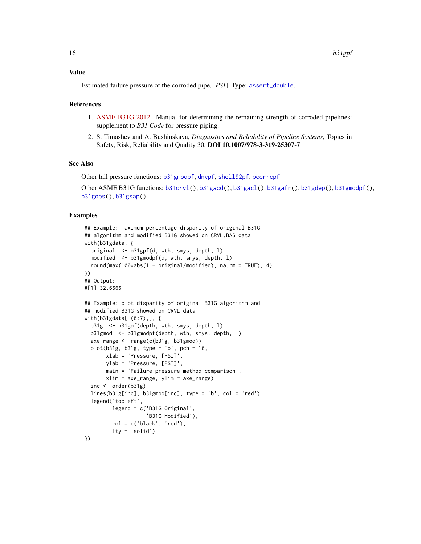Estimated failure pressure of the corroded pipe, [*PSI*]. Type: [assert\\_double](#page-0-0).

#### References

- 1. [ASME B31G-2012.](https://www.techstreet.com/standards/asme-b31g-2012-r2017?product_id=1842873) Manual for determining the remaining strength of corroded pipelines: supplement to *B31 Code* for pressure piping.
- 2. S. Timashev and A. Bushinskaya, *Diagnostics and Reliability of Pipeline Systems*, Topics in Safety, Risk, Reliability and Quality 30, DOI 10.1007/978-3-319-25307-7

### See Also

Other fail pressure functions: [b31gmodpf](#page-11-1), [dnvpf](#page-17-1), [shell92pf](#page-65-1), [pcorrcpf](#page-63-1)

```
Other ASME B31G functions: b31crvl(), b31gacd(), b31gacl(), b31gafr(), b31gdep(), b31gmodpf(),
b31gops(), b31gsap()
```
### Examples

```
## Example: maximum percentage disparity of original B31G
## algorithm and modified B31G showed on CRVL.BAS data
with(b31gdata, {
 original <- b31gpf(d, wth, smys, depth, l)
 modified <- b31gmodpf(d, wth, smys, depth, l)
 round(max(100*abs(1 - original/modified), na.rm = TRUE), 4)
})
## Output:
#[1] 32.6666
## Example: plot disparity of original B31G algorithm and
## modified B31G showed on CRVL data
with(b31gdata[-(6:7),], {
 b31g <- b31gpf(depth, wth, smys, depth, l)
 b31gmod <- b31gmodpf(depth, wth, smys, depth, l)
 axe_range <- range(c(b31g, b31gmod))
 plot(b31g, b31g, type = 'b', pch = 16,
      xlab = 'Pressure, [PSI]',
      ylab = 'Pressure, [PSI]',
      main = 'Failure pressure method comparison',
      xlim = axe_range, ylim = axe_range)
  inc <- order(b31g)
 lines(b31g[inc], b31gmod[inc], type = 'b', col = 'red')
 legend('topleft',
        legend = c('B31G Original',
                    'B31G Modified'),
        col = c('black', 'red'),lty = 'solid')
})
```
<span id="page-15-0"></span>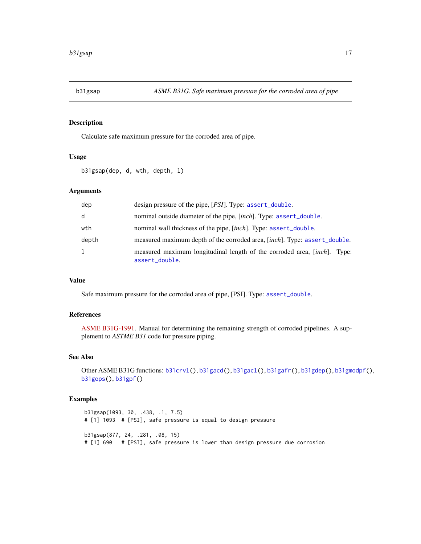<span id="page-16-1"></span><span id="page-16-0"></span>

### Description

Calculate safe maximum pressure for the corroded area of pipe.

### Usage

b31gsap(dep, d, wth, depth, l)

### Arguments

| dep   | design pressure of the pipe, [PSI]. Type: assert_double.                                   |
|-------|--------------------------------------------------------------------------------------------|
| d     | nominal outside diameter of the pipe, [inch]. Type: assert_double.                         |
| wth   | nominal wall thickness of the pipe, [inch]. Type: assert_double.                           |
| depth | measured maximum depth of the corroded area, [inch]. Type: assert_double.                  |
| 1     | measured maximum longitudinal length of the corroded area, [inch]. Type:<br>assert_double. |

### Value

Safe maximum pressure for the corroded area of pipe, [PSI]. Type: [assert\\_double](#page-0-0).

### References

[ASME B31G-1991.](https://law.resource.org/pub/us/cfr/ibr/002/asme.b31g.1991.pdf) Manual for determining the remaining strength of corroded pipelines. A supplement to *ASTME B31* code for pressure piping.

### See Also

```
Other ASME B31G functions: b31crvl(), b31gacd(), b31gacl(), b31gafr(), b31gdep(), b31gmodpf(),
b31gops(), b31gpf()
```
### Examples

```
b31gsap(1093, 30, .438, .1, 7.5)
# [1] 1093 # [PSI], safe pressure is equal to design pressure
b31gsap(877, 24, .281, .08, 15)
# [1] 690 # [PSI], safe pressure is lower than design pressure due corrosion
```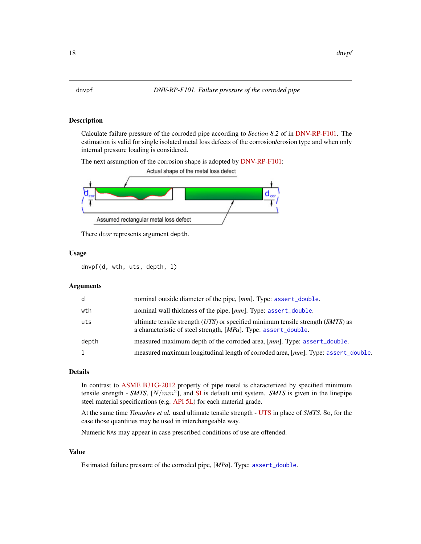### <span id="page-17-1"></span><span id="page-17-0"></span>Description

Calculate failure pressure of the corroded pipe according to *Section 8.2* of in [DNV-RP-F101.](https://rules.dnvgl.com/docs/pdf/DNV/codes/docs/2010-10/RP-F101.pdf) The estimation is valid for single isolated metal loss defects of the corrosion/erosion type and when only internal pressure loading is considered.

The next assumption of the corrosion shape is adopted by [DNV-RP-F101:](https://rules.dnvgl.com/docs/pdf/DNV/codes/docs/2010-10/RP-F101.pdf)



There d*cor* represents argument depth.

### Usage

dnvpf(d, wth, uts, depth, l)

### Arguments

| d     | nominal outside diameter of the pipe, [mm]. Type: assert_double.                                                                                       |
|-------|--------------------------------------------------------------------------------------------------------------------------------------------------------|
| wth   | nominal wall thickness of the pipe, [mm]. Type: assert_double.                                                                                         |
| uts   | ultimate tensile strength $(UTS)$ or specified minimum tensile strength $(SMTS)$ as<br>a characteristic of steel strength, [MPa]. Type: assert_double. |
| depth | measured maximum depth of the corroded area, [mm]. Type: assert_double.                                                                                |
| 1     | measured maximum longitudinal length of corroded area, [mm]. Type: assert_double.                                                                      |

#### Details

In contrast to [ASME B31G-2012](https://www.asme.org/codes-standards/find-codes-standards/b31g-manual-determining-remaining-strength-corroded-pipelines) property of pipe metal is characterized by specified minimum tensile strength - *SMTS*, [N/mm<sup>2</sup> ], and [SI](https://en.wikipedia.org/wiki/International_System_of_Units) is default unit system. *SMTS* is given in the linepipe steel material specifications (e.g. [API 5L\)](https://www.api.org/products-and-services/standards/important-standards-announcements/standard-5l) for each material grade.

At the same time *Timashev et al.* used ultimate tensile strength - [UTS](https://en.wikipedia.org/wiki/Ultimate_tensile_strength) in place of *SMTS*. So, for the case those quantities may be used in interchangeable way.

Numeric NAs may appear in case prescribed conditions of use are offended.

#### Value

Estimated failure pressure of the corroded pipe, [*MPa*]. Type: [assert\\_double](#page-0-0).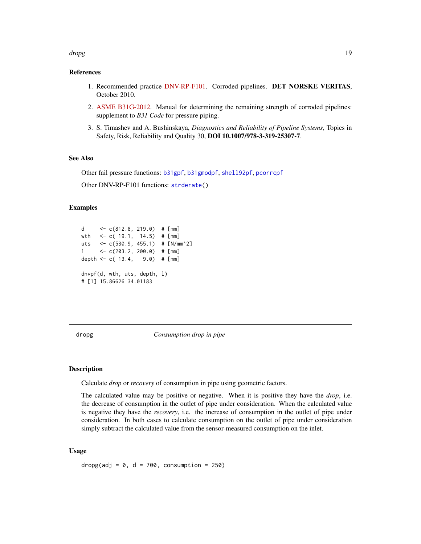#### <span id="page-18-0"></span>dropg and the contract of the contract of the contract of the contract of the contract of the contract of the contract of the contract of the contract of the contract of the contract of the contract of the contract of the

#### References

- 1. Recommended practice [DNV-RP-F101.](https://rules.dnvgl.com/docs/pdf/DNV/codes/docs/2010-10/RP-F101.pdf) Corroded pipelines. DET NORSKE VERITAS, October 2010.
- 2. [ASME B31G-2012.](https://www.techstreet.com/standards/asme-b31g-2012-r2017?product_id=1842873) Manual for determining the remaining strength of corroded pipelines: supplement to *B31 Code* for pressure piping.
- 3. S. Timashev and A. Bushinskaya, *Diagnostics and Reliability of Pipeline Systems*, Topics in Safety, Risk, Reliability and Quality 30, DOI 10.1007/978-3-319-25307-7.

### See Also

Other fail pressure functions: [b31gpf](#page-14-1), [b31gmodpf](#page-11-1), [shell92pf](#page-65-1), [pcorrcpf](#page-63-1)

Other DNV-RP-F101 functions: [strderate\(](#page-67-1))

### Examples

```
d <- c(812.8, 219.0) # [mm]
wth <- c( 19.1, 14.5) # [mm]
uts <- c(530.9, 455.1) # [N/mm^2]
1 \leq C(203.2, 200.0) \neq [mm]depth <- c( 13.4, 9.0) # [mm]
dnvpf(d, wth, uts, depth, l)
# [1] 15.86626 34.01183
```
<span id="page-18-1"></span>dropg *Consumption drop in pipe*

### Description

Calculate *drop* or *recovery* of consumption in pipe using geometric factors.

The calculated value may be positive or negative. When it is positive they have the *drop*, i.e. the decrease of consumption in the outlet of pipe under consideration. When the calculated value is negative they have the *recovery*, i.e. the increase of consumption in the outlet of pipe under consideration. In both cases to calculate consumption on the outlet of pipe under consideration simply subtract the calculated value from the sensor-measured consumption on the inlet.

#### Usage

dropg(adj =  $0$ , d = 700, consumption = 250)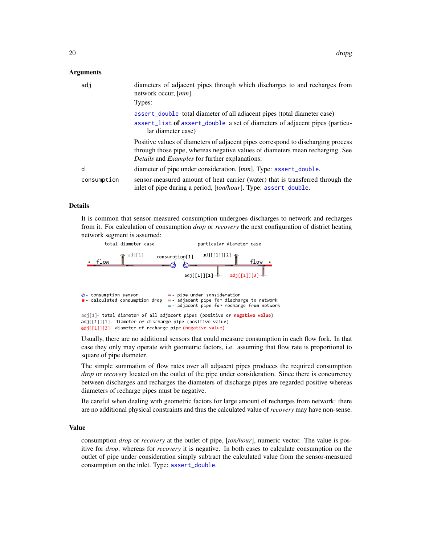#### <span id="page-19-0"></span>Arguments

| adj         | diameters of adjacent pipes through which discharges to and recharges from<br>network occur, [ <i>mm</i> ].<br>Types:                                                                                                             |
|-------------|-----------------------------------------------------------------------------------------------------------------------------------------------------------------------------------------------------------------------------------|
|             | assert_double_total_diameter of all adjacent pipes (total_diameter case)<br>assert_list of assert_double a set of diameters of adjacent pipes (particu-<br>lar diameter case)                                                     |
|             | Positive values of diameters of adjacent pipes correspond to discharging process<br>through those pipe, whereas negative values of diameters mean recharging. See<br><i>Details</i> and <i>Examples</i> for further explanations. |
| d           | diameter of pipe under consideration, [mm]. Type: assert_double.                                                                                                                                                                  |
| consumption | sensor-measured amount of heat carrier (water) that is transferred through the<br>inlet of pipe during a period, [ton/hour]. Type: assert_double.                                                                                 |

### Details

It is common that sensor-measured consumption undergoes discharges to network and recharges from it. For calculation of consumption *drop* or *recovery* the next configuration of district heating network segment is assumed:



Usually, there are no additional sensors that could measure consumption in each flow fork. In that case they only may operate with geometric factors, i.e. assuming that flow rate is proportional to square of pipe diameter.

The simple summation of flow rates over all adjacent pipes produces the required consumption *drop* or *recovery* located on the outlet of the pipe under consideration. Since there is concurrency between discharges and recharges the diameters of discharge pipes are regarded positive whereas diameters of recharge pipes must be negative.

Be careful when dealing with geometric factors for large amount of recharges from network: there are no additional physical constraints and thus the calculated value of *recovery* may have non-sense.

#### Value

consumption *drop* or *recovery* at the outlet of pipe, [*ton/hour*], numeric vector. The value is positive for *drop*, whereas for *recovery* it is negative. In both cases to calculate consumption on the outlet of pipe under consideration simply subtract the calculated value from the sensor-measured consumption on the inlet. Type: [assert\\_double](#page-0-0).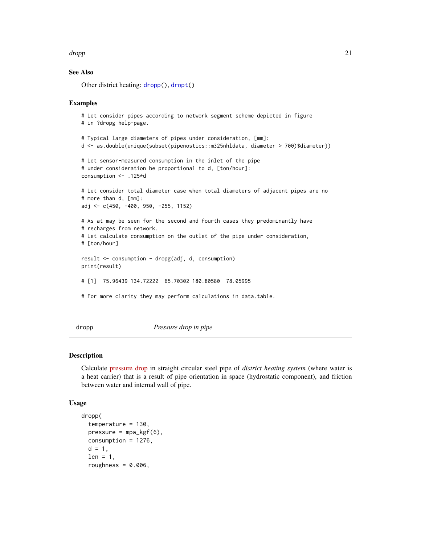#### <span id="page-20-0"></span>dropp 21

### See Also

Other district heating: [dropp\(](#page-20-1)), [dropt\(](#page-23-1))

#### Examples

```
# Let consider pipes according to network segment scheme depicted in figure
# in ?dropg help-page.
# Typical large diameters of pipes under consideration, [mm]:
d <- as.double(unique(subset(pipenostics::m325nhldata, diameter > 700)$diameter))
# Let sensor-measured consumption in the inlet of the pipe
# under consideration be proportional to d, [ton/hour]:
consumption <- .125*d
# Let consider total diameter case when total diameters of adjacent pipes are no
# more than d, [mm]:
adj <- c(450, -400, 950, -255, 1152)
# As at may be seen for the second and fourth cases they predominantly have
# recharges from network.
# Let calculate consumption on the outlet of the pipe under consideration,
# [ton/hour]
result <- consumption - dropg(adj, d, consumption)
print(result)
# [1] 75.96439 134.72222 65.70302 180.80580 78.05995
# For more clarity they may perform calculations in data.table.
```
<span id="page-20-1"></span>

dropp *Pressure drop in pipe*

### Description

Calculate [pressure drop](https://en.wikipedia.org/wiki/Pressure_drop) in straight circular steel pipe of *district heating system* (where water is a heat carrier) that is a result of pipe orientation in space (hydrostatic component), and friction between water and internal wall of pipe.

#### Usage

```
dropp(
  temperature = 130,
 presure = mpa_kgf(6),
 consumption = 1276,
  d = 1,
  len = 1,
  roughness = 0.006,
```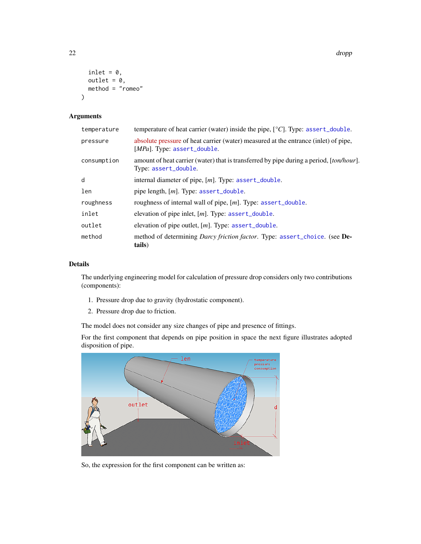```
inlet = 0,
  outlet = 0,
  method = "romeo"
\mathcal{L}
```
### Arguments

| temperature | temperature of heat carrier (water) inside the pipe, $\lceil {^{\circ}C} \rceil$ . Type: assert_double.                     |
|-------------|-----------------------------------------------------------------------------------------------------------------------------|
| pressure    | absolute pressure of heat carrier (water) measured at the entrance (inlet) of pipe,<br>[ <i>MPa</i> ]. Type: assert_double. |
| consumption | amount of heat carrier (water) that is transferred by pipe during a period, [ton/hour].<br>Type: assert_double.             |
| d           | internal diameter of pipe, $[m]$ . Type: assert_double.                                                                     |
| len         | pipe length, $[m]$ . Type: assert_double.                                                                                   |
| roughness   | roughness of internal wall of pipe, $[m]$ . Type: assert_double.                                                            |
| inlet       | elevation of pipe inlet, $[m]$ . Type: assert_double.                                                                       |
| outlet      | elevation of pipe outlet, $[m]$ . Type: assert_double.                                                                      |
| method      | method of determining <i>Darcy friction factor</i> . Type: assert_choice. (see <b>De-</b><br>tails)                         |

### Details

The underlying engineering model for calculation of pressure drop considers only two contributions (components):

- 1. Pressure drop due to gravity (hydrostatic component).
- 2. Pressure drop due to friction.

The model does not consider any size changes of pipe and presence of fittings.

For the first component that depends on pipe position in space the next figure illustrates adopted disposition of pipe.



So, the expression for the first component can be written as:

<span id="page-21-0"></span>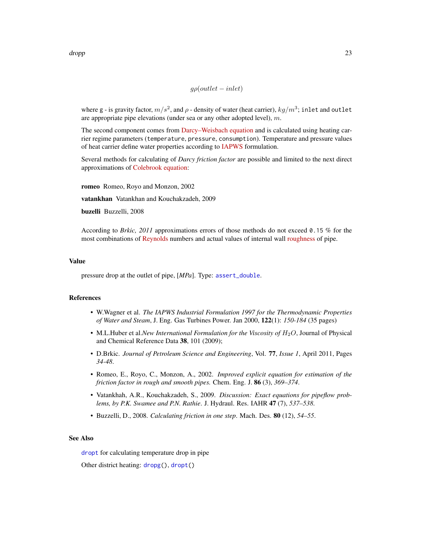$$
g\rho(outlet - inlet)
$$

<span id="page-22-0"></span>where g - is gravity factor,  $m/s^2$ , and  $\rho$  - density of water (heat carrier),  $kg/m^3$ ; inlet and outlet are appropriate pipe elevations (under sea or any other adopted level),  $m$ .

The second component comes from [Darcy–Weisbach equation](https://en.wikipedia.org/wiki/Darcy-Weisbach_equation) and is calculated using heating carrier regime parameters (temperature, pressure, consumption). Temperature and pressure values of heat carrier define water properties according to [IAPWS](http://www.iapws.org/) formulation.

Several methods for calculating of *Darcy friction factor* are possible and limited to the next direct approximations of [Colebrook equation:](https://en.wikipedia.org/wiki/Darcy_friction_factor_formulae#Brki�-Praks_solution)

romeo Romeo, Royo and Monzon, 2002

vatankhan Vatankhan and Kouchakzadeh, 2009

buzelli Buzzelli, 2008

According to *Brkic, 2011* approximations errors of those methods do not exceed 0.15 % for the most combinations of [Reynolds](https://en.wikipedia.org/wiki/Reynolds_number) numbers and actual values of internal wall [roughness](https://en.wikipedia.org/wiki/Surface_roughness) of pipe.

#### Value

pressure drop at the outlet of pipe, [*MPa*]. Type: [assert\\_double](#page-0-0).

### References

- W.Wagner et al. *The IAPWS Industrial Formulation 1997 for the Thermodynamic Properties of Water and Steam*, J. Eng. Gas Turbines Power. Jan 2000, 122(1): *150-184* (35 pages)
- M.L.Huber et al.*New International Formulation for the Viscosity of H<sub>2</sub>O, Journal of Physical* and Chemical Reference Data 38, 101 (2009);
- D.Brkic. *Journal of Petroleum Science and Engineering*, Vol. 77, *Issue 1*, April 2011, Pages *34-48*.
- Romeo, E., Royo, C., Monzon, A., 2002. *Improved explicit equation for estimation of the friction factor in rough and smooth pipes.* Chem. Eng. J. 86 (3), *369–374*.
- Vatankhah, A.R., Kouchakzadeh, S., 2009. *Discussion: Exact equations for pipeflow problems, by P.K. Swamee and P.N. Rathie*. J. Hydraul. Res. IAHR 47 (7), *537–538*.
- Buzzelli, D., 2008. *Calculating friction in one step*. Mach. Des. 80 (12), *54–55*.

### See Also

[dropt](#page-23-1) for calculating temperature drop in pipe

Other district heating: [dropg\(](#page-18-1)), [dropt\(](#page-23-1))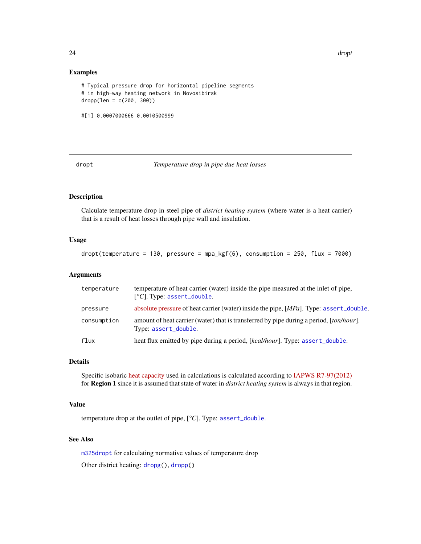#### Examples

```
# Typical pressure drop for horizontal pipeline segments
# in high-way heating network in Novosibirsk
dropp(len = c(200, 300))
#[1] 0.0007000666 0.0010500999
```
<span id="page-23-1"></span>

dropt *Temperature drop in pipe due heat losses*

### Description

Calculate temperature drop in steel pipe of *district heating system* (where water is a heat carrier) that is a result of heat losses through pipe wall and insulation.

### Usage

 $d$ ropt(temperature = 130, pressure = mpa\_kgf(6), consumption = 250, flux = 7000)

### Arguments

| temperature | temperature of heat carrier (water) inside the pipe measured at the inlet of pipe,<br>$[°C]$ . Type: assert_double. |
|-------------|---------------------------------------------------------------------------------------------------------------------|
| pressure    | absolute pressure of heat carrier (water) inside the pipe, [MPa]. Type: assert_double.                              |
| consumption | amount of heat carrier (water) that is transferred by pipe during a period, [ton/hour].<br>Type: assert_double.     |
| flux        | heat flux emitted by pipe during a period, [kcal/hour]. Type: assert_double.                                        |

### Details

Specific isobaric [heat capacity](https://en.wikipedia.org/wiki/Heat_capacity) used in calculations is calculated according to [IAPWS R7-97\(2012\)](http://www.iapws.org/relguide/IF97-Rev.pdf) for Region 1 since it is assumed that state of water in *district heating system* is always in that region.

### Value

temperature drop at the outlet of pipe, [*°C*]. Type: [assert\\_double](#page-0-0).

### See Also

[m325dropt](#page-36-1) for calculating normative values of temperature drop Other district heating: [dropg\(](#page-18-1)), [dropp\(](#page-20-1))

<span id="page-23-0"></span>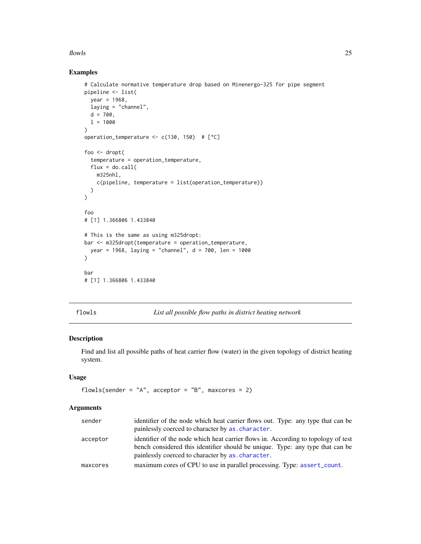#### <span id="page-24-0"></span> $f$ lowls 25

### Examples

```
# Calculate normative temperature drop based on Minenergo-325 for pipe segment
pipeline <- list(
 year = 1968,laying = "channel",
 d = 700,
 1 = 1000)
operation_temperature <- c(130, 150) # [°C]
foo <- dropt(
 temperature = operation_temperature,
 flux = do.call(m325nhl,
   c(pipeline, temperature = list(operation_temperature))
 )
)
foo
# [1] 1.366806 1.433840
# This is the same as using m325dropt:
bar <- m325dropt(temperature = operation_temperature,
 year = 1968, laying = "channel", d = 700, len = 1000
\mathcal{L}bar
# [1] 1.366806 1.433840
```
flowls *List all possible flow paths in district heating network*

### Description

Find and list all possible paths of heat carrier flow (water) in the given topology of district heating system.

### Usage

```
flowls(sender = "A", acceptor = "B", maxcores = 2)
```
### Arguments

| sender   | identifier of the node which heat carrier flows out. Type: any type that can be   |
|----------|-----------------------------------------------------------------------------------|
|          | painlessly coerced to character by as character.                                  |
| acceptor | identifier of the node which heat carrier flows in. According to topology of test |
|          | bench considered this identifier should be unique. Type: any type that can be     |
|          | painlessly coerced to character by as character.                                  |
| maxcores | maximum cores of CPU to use in parallel processing. Type: assert_count.           |
|          |                                                                                   |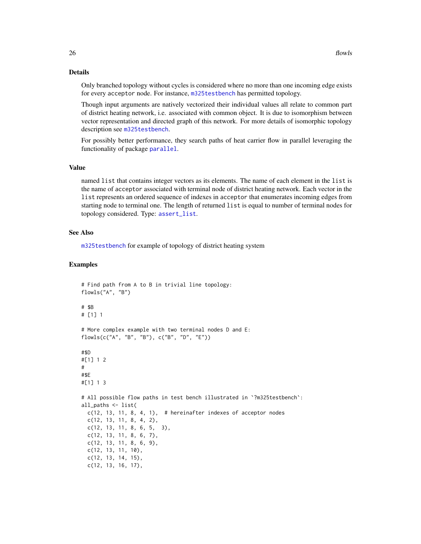### <span id="page-25-0"></span>Details

Only branched topology without cycles is considered where no more than one incoming edge exists for every acceptor node. For instance, [m325testbench](#page-41-1) has permitted topology.

Though input arguments are natively vectorized their individual values all relate to common part of district heating network, i.e. associated with common object. It is due to isomorphism between vector representation and directed graph of this network. For more details of isomorphic topology description see [m325testbench](#page-41-1).

For possibly better performance, they search paths of heat carrier flow in parallel leveraging the functionality of package [parallel](#page-0-0).

#### Value

named list that contains integer vectors as its elements. The name of each element in the list is the name of acceptor associated with terminal node of district heating network. Each vector in the list represents an ordered sequence of indexes in acceptor that enumerates incoming edges from starting node to terminal one. The length of returned list is equal to number of terminal nodes for topology considered. Type: [assert\\_list](#page-0-0).

### See Also

[m325testbench](#page-41-1) for example of topology of district heating system

### Examples

```
# Find path from A to B in trivial line topology:
flowls("A", "B")
# $B
# [1] 1
# More complex example with two terminal nodes D and E:
flowls(c("A", "B", "B"), c("B", "D", "E"))
#$D
#[1] 1 2
#
#$E
#[1] 1 3
# All possible flow paths in test bench illustrated in `?m325testbench`:
all_paths <- list(
 c(12, 13, 11, 8, 4, 1), # hereinafter indexes of acceptor nodes
 c(12, 13, 11, 8, 4, 2),
 c(12, 13, 11, 8, 6, 5, 3),
 c(12, 13, 11, 8, 6, 7),
 c(12, 13, 11, 8, 6, 9),
 c(12, 13, 11, 10),
 c(12, 13, 14, 15),
 c(12, 13, 16, 17),
```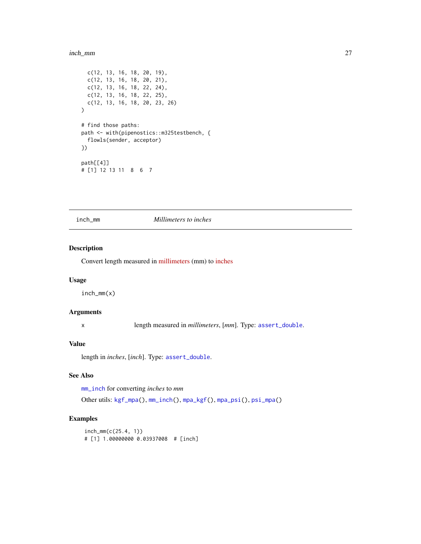#### <span id="page-26-0"></span>inch\_mm 27

```
c(12, 13, 16, 18, 20, 19),
  c(12, 13, 16, 18, 20, 21),
  c(12, 13, 16, 18, 22, 24),
 c(12, 13, 16, 18, 22, 25),
  c(12, 13, 16, 18, 20, 23, 26)
\mathcal{L}# find those paths:
path <- with(pipenostics::m325testbench, {
  flowls(sender, acceptor)
})
path[[4]]
# [1] 12 13 11 8 6 7
```
#### <span id="page-26-1"></span>inch\_mm *Millimeters to inches*

### Description

Convert length measured in [millimeters](https://en.wikipedia.org/wiki/Millimetre) (mm) to [inches](https://en.wikipedia.org/wiki/Inch)

### Usage

inch\_mm(x)

### Arguments

x length measured in *millimeters*, [*mm*]. Type: [assert\\_double](#page-0-0).

### Value

length in *inches*, [*inch*]. Type: [assert\\_double](#page-0-0).

### See Also

[mm\\_inch](#page-61-1) for converting *inches* to *mm*

Other utils: [kgf\\_mpa\(](#page-27-1)), [mm\\_inch\(](#page-61-1)), [mpa\\_kgf\(](#page-62-1)), [mpa\\_psi\(](#page-62-2)), [psi\\_mpa\(](#page-65-2))

### Examples

```
inch_mm(c(25.4, 1))
# [1] 1.00000000 0.03937008 # [inch]
```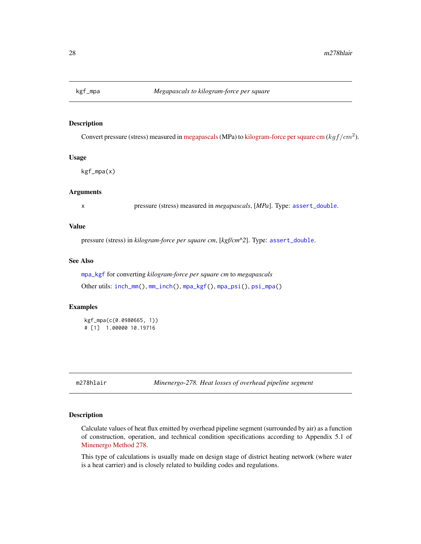<span id="page-27-1"></span><span id="page-27-0"></span>

### Description

Convert pressure (stress) measured in [megapascals](https://en.wikipedia.org/wiki/Pascal_(unit)) (MPa) to [kilogram-force per square cm](https://en.wikipedia.org/wiki/Kilogram-force_per_square_centimetre)  $(kgf/cm^2)$ .

### Usage

kgf\_mpa(x)

### Arguments

x pressure (stress) measured in *megapascals*, [*MPa*]. Type: [assert\\_double](#page-0-0).

### Value

pressure (stress) in *kilogram-force per square cm*, [*kgf/cm^2*]. Type: [assert\\_double](#page-0-0).

### See Also

[mpa\\_kgf](#page-62-1) for converting *kilogram-force per square cm* to *megapascals* Other utils: [inch\\_mm\(](#page-26-1)), [mm\\_inch\(](#page-61-1)), [mpa\\_kgf\(](#page-62-1)), [mpa\\_psi\(](#page-62-2)), [psi\\_mpa\(](#page-65-2))

### Examples

kgf\_mpa(c(0.0980665, 1)) # [1] 1.00000 10.19716

<span id="page-27-2"></span>m278hlair *Minenergo-278. Heat losses of overhead pipeline segment*

### Description

Calculate values of heat flux emitted by overhead pipeline segment (surrounded by air) as a function of construction, operation, and technical condition specifications according to Appendix 5.1 of [Minenergo Method 278.](http://www.complexdoc.ru/ntdtext/547103/)

This type of calculations is usually made on design stage of district heating network (where water is a heat carrier) and is closely related to building codes and regulations.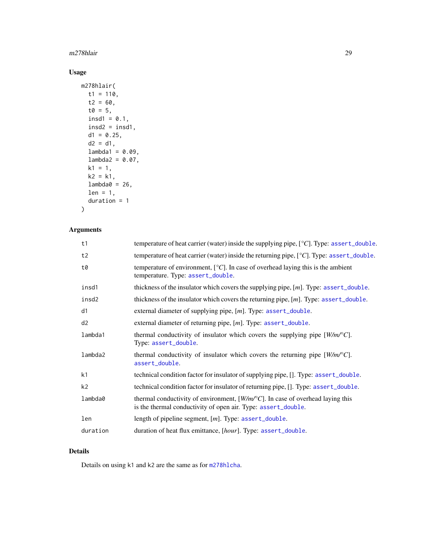### <span id="page-28-0"></span>m278hlair 29

### Usage

```
m278hlair(
 t1 = 110,
 t2 = 60,t0 = 5,
  insd1 = 0.1,insd2 = insd1,d1 = 0.25,
 d2 = d1,
 lambda1 = 0.09,
 lambda2 = 0.07,
 k1 = 1,
 k2 = k1,
 lambda@ = 26,
 len = 1,
 duration = 1
)
```
### Arguments

| t1             | temperature of heat carrier (water) inside the supplying pipe, [°C]. Type: assert_double.                                                                |
|----------------|----------------------------------------------------------------------------------------------------------------------------------------------------------|
| t2             | temperature of heat carrier (water) inside the returning pipe, [°C]. Type: assert_double.                                                                |
| t0             | temperature of environment, $[^{\circ}C]$ . In case of overhead laying this is the ambient<br>temperature. Type: assert_double.                          |
| insd1          | thickness of the insulator which covers the supplying pipe, $[m]$ . Type: assert_double.                                                                 |
| insd2          | thickness of the insulator which covers the returning pipe, $[m]$ . Type: assert_double.                                                                 |
| d1             | external diameter of supplying pipe, [m]. Type: assert_double.                                                                                           |
| d2             | external diameter of returning pipe, $[m]$ . Type: assert_double.                                                                                        |
| lambda1        | thermal conductivity of insulator which covers the supplying pipe $[W/m^{\circ}C]$ .<br>Type: assert_double.                                             |
| lambda2        | thermal conductivity of insulator which covers the returning pipe $[W/m^{\circ}C]$ .<br>assert_double.                                                   |
| k1             | technical condition factor for insulator of supplying pipe, []. Type: assert_double.                                                                     |
| k <sub>2</sub> | technical condition factor for insulator of returning pipe, []. Type: assert_double.                                                                     |
| lambda0        | thermal conductivity of environment, $[W/m^{\circ}C]$ . In case of overhead laying this<br>is the thermal conductivity of open air. Type: assert_double. |
| len            | length of pipeline segment, $[m]$ . Type: assert_double.                                                                                                 |
| duration       | duration of heat flux emittance, [hour]. Type: assert_double.                                                                                            |
|                |                                                                                                                                                          |

### Details

Details on using k1 and k2 are the same as for [m278hlcha](#page-29-1).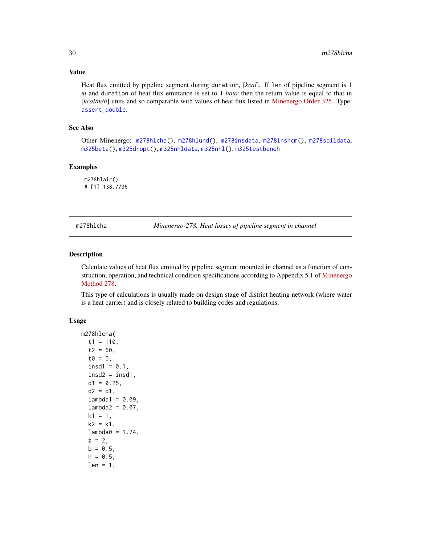#### Value

Heat flux emitted by pipeline segment during duration, [*kcal*]. If len of pipeline segment is 1 *m* and duration of heat flux emittance is set to 1 *hour* then the return value is equal to that in [*kcal/m/h*] units and so comparable with values of heat flux listed in [Minenergo Order 325.](http://docs.cntd.ru/document/902148459) Type: [assert\\_double](#page-0-0).

### See Also

Other Minenergo: [m278hlcha\(](#page-29-1)), [m278hlund\(](#page-31-1)), [m278insdata](#page-33-1), [m278inshcm\(](#page-34-1)), [m278soildata](#page-35-1), [m325beta\(](#page-35-2)), [m325dropt\(](#page-36-1)), [m325nhldata](#page-40-1), [m325nhl\(](#page-38-1)), [m325testbench](#page-41-1)

### Examples

m278hlair() # [1] 138.7736

<span id="page-29-1"></span>m278hlcha *Minenergo-278. Heat losses of pipeline segment in channel*

### Description

Calculate values of heat flux emitted by pipeline segment mounted in channel as a function of con-struction, operation, and technical condition specifications according to Appendix 5.1 of [Minenergo](http://www.complexdoc.ru/ntdtext/547103/) [Method 278.](http://www.complexdoc.ru/ntdtext/547103/)

This type of calculations is usually made on design stage of district heating network (where water is a heat carrier) and is closely related to building codes and regulations.

### Usage

```
m278hlcha(
  t1 = 110,
  t2 = 60,
  t0 = 5,
  insd1 = 0.1,
  insd2 = insd1,
  d1 = 0.25,
  d2 = d1,
  lambda1 = 0.09,
  lambda2 = 0.07,
  k1 = 1,
  k2 = k1.
  lambda@ = 1.74,
  z = 2,
  b = 0.5,
  h = 0.5,
  len = 1,
```
<span id="page-29-0"></span>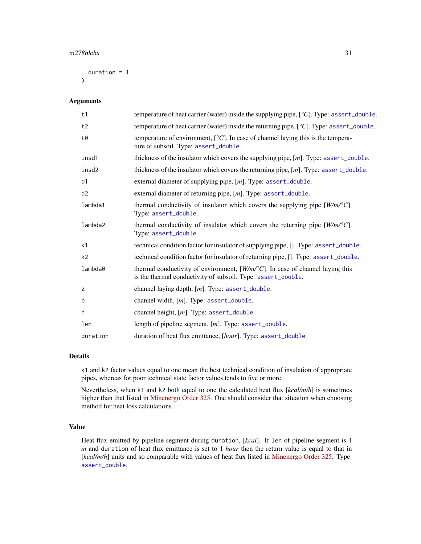<span id="page-30-0"></span>duration = 1  $\lambda$ 

#### Arguments

| t1             | temperature of heat carrier (water) inside the supplying pipe, $[°C]$ . Type: assert_double.                                                           |
|----------------|--------------------------------------------------------------------------------------------------------------------------------------------------------|
| t2             | temperature of heat carrier (water) inside the returning pipe, [°C]. Type: assert_double.                                                              |
| t0             | temperature of environment, $[°C]$ . In case of channel laying this is the tempera-<br>ture of subsoil. Type: assert_double.                           |
| insd1          | thickness of the insulator which covers the supplying pipe, [m]. Type: assert_double.                                                                  |
| insd2          | thickness of the insulator which covers the returning pipe, $[m]$ . Type: assert_double.                                                               |
| d1             | external diameter of supplying pipe, $[m]$ . Type: assert_double.                                                                                      |
| d2             | external diameter of returning pipe, [m]. Type: assert_double.                                                                                         |
| lambda1        | thermal conductivity of insulator which covers the supplying pipe $[W/m^{\circ}C]$ .<br>Type: assert_double.                                           |
| lambda2        | thermal conductivity of insulator which covers the returning pipe $[W/m^{\circ}C]$ .<br>Type: assert_double.                                           |
| k1             | technical condition factor for insulator of supplying pipe, []. Type: assert_double.                                                                   |
| k <sub>2</sub> | technical condition factor for insulator of returning pipe, []. Type: assert_double.                                                                   |
| lambda0        | thermal conductivity of environment, $[W/m^{\circ}C]$ . In case of channel laying this<br>is the thermal conductivity of subsoil. Type: assert_double. |
| z              | channel laying depth, [m]. Type: assert_double.                                                                                                        |
| b              | channel width, $[m]$ . Type: assert_double.                                                                                                            |
| h.             | channel height, $[m]$ . Type: assert_double.                                                                                                           |
| len            | length of pipeline segment, $[m]$ . Type: assert_double.                                                                                               |
| duration       | duration of heat flux emittance, [hour]. Type: assert_double.                                                                                          |

### Details

k1 and k2 factor values equal to one mean the best technical condition of insulation of appropriate pipes, whereas for poor technical state factor values tends to five or more.

Nevertheless, when k1 and k2 both equal to one the calculated heat flux [*kcal/m/h*] is sometimes higher than that listed in [Minenergo Order 325.](http://docs.cntd.ru/document/902148459) One should consider that situation when choosing method for heat loss calculations.

### Value

Heat flux emitted by pipeline segment during duration, [*kcal*]. If len of pipeline segment is 1 *m* and duration of heat flux emittance is set to 1 *hour* then the return value is equal to that in [kcal/m/h] units and so comparable with values of heat flux listed in [Minenergo Order 325.](http://docs.cntd.ru/document/902148459) Type: [assert\\_double](#page-0-0).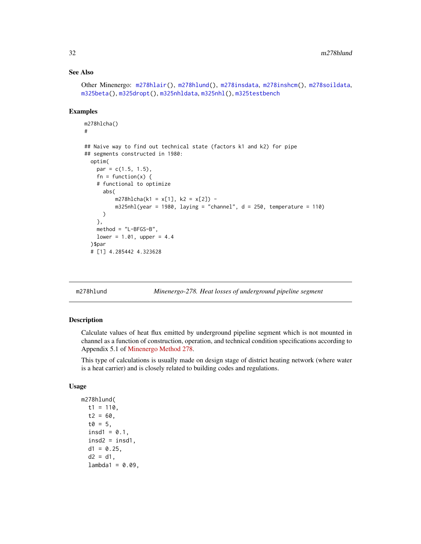### <span id="page-31-0"></span>See Also

```
Other Minenergo: m278hlair(), m278hlund(), m278insdata, m278inshcm(), m278soildata,
m325beta(), m325dropt(), m325nhldata, m325nhl(), m325testbench
```
### Examples

```
m278hlcha()
#
## Naive way to find out technical state (factors k1 and k2) for pipe
## segments constructed in 1980:
  optim(
    par = c(1.5, 1.5),
    fn = function(x) {
    # functional to optimize
      abs(
          m278h1cha(k1 = x[1], k2 = x[2]) -
          m325nhl(year = 1980, laying = "channel", d = 250, temperature = 110))
    },
    method = "L-BFGS-B",
    lower = 1.01, upper = 4.4
  )$par
  # [1] 4.285442 4.323628
```
<span id="page-31-1"></span>

m278hlund *Minenergo-278. Heat losses of underground pipeline segment*

### Description

Calculate values of heat flux emitted by underground pipeline segment which is not mounted in channel as a function of construction, operation, and technical condition specifications according to Appendix 5.1 of [Minenergo Method 278.](http://www.complexdoc.ru/ntdtext/547103/)

This type of calculations is usually made on design stage of district heating network (where water is a heat carrier) and is closely related to building codes and regulations.

### Usage

```
m278hlund(
  t1 = 110,
  t2 = 60,
  t0 = 5.
  insd1 = 0.1,
  insd2 = insd1,
  d1 = 0.25,
  d2 = d1,
  lambda1 = 0.09,
```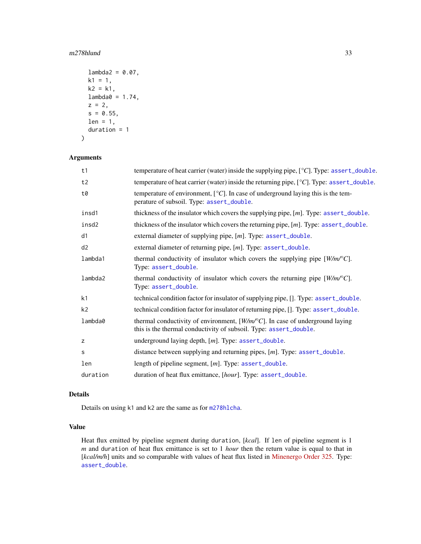#### <span id="page-32-0"></span> $m278$ hlund  $33$

```
lambda2 = 0.07,
k1 = 1,
k2 = k1,
lambda0 = 1.74,z = 2,s = 0.55,
len = 1,
duration = 1
```

```
)
```
### Arguments

| t1             | temperature of heat carrier (water) inside the supplying pipe, [°C]. Type: assert_double.                                                                  |  |
|----------------|------------------------------------------------------------------------------------------------------------------------------------------------------------|--|
| t2             | temperature of heat carrier (water) inside the returning pipe, $[^{\circ}C]$ . Type: assert_double.                                                        |  |
| t0             | temperature of environment, $[°C]$ . In case of underground laying this is the tem-<br>perature of subsoil. Type: assert_double.                           |  |
| insd1          | thickness of the insulator which covers the supplying pipe, $[m]$ . Type: assert_double.                                                                   |  |
| insd2          | thickness of the insulator which covers the returning pipe, $[m]$ . Type: assert_double.                                                                   |  |
| d1             | external diameter of supplying pipe, $[m]$ . Type: assert_double.                                                                                          |  |
| d2             | external diameter of returning pipe, $[m]$ . Type: assert_double.                                                                                          |  |
| lambda1        | thermal conductivity of insulator which covers the supplying pipe $[W/m\text{/}^{\circ}C]$ .<br>Type: assert_double.                                       |  |
| lambda2        | thermal conductivity of insulator which covers the returning pipe $[W/m^{\circ}C]$ .<br>Type: assert_double.                                               |  |
| k <sub>1</sub> | technical condition factor for insulator of supplying pipe, []. Type: assert_double.                                                                       |  |
| k <sub>2</sub> | technical condition factor for insulator of returning pipe, []. Type: assert_double.                                                                       |  |
| lambda0        | thermal conductivity of environment, $[W/m^{\circ}C]$ . In case of underground laying<br>this is the thermal conductivity of subsoil. Type: assert_double. |  |
| Z              | underground laying depth, $[m]$ . Type: assert_double.                                                                                                     |  |
| s              | distance between supplying and returning pipes, [m]. Type: assert_double.                                                                                  |  |
| len            | length of pipeline segment, $[m]$ . Type: assert_double.                                                                                                   |  |
| duration       | duration of heat flux emittance, [hour]. Type: assert_double.                                                                                              |  |

### Details

Details on using k1 and k2 are the same as for [m278hlcha](#page-29-1).

### Value

Heat flux emitted by pipeline segment during duration, [*kcal*]. If len of pipeline segment is 1 *m* and duration of heat flux emittance is set to 1 *hour* then the return value is equal to that in [kcal/m/h] units and so comparable with values of heat flux listed in [Minenergo Order 325.](http://docs.cntd.ru/document/902148459) Type: [assert\\_double](#page-0-0).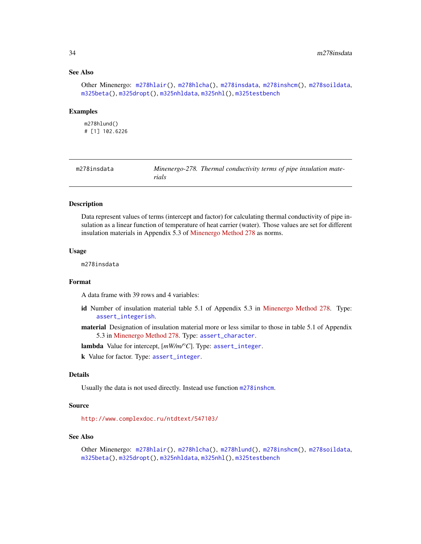### <span id="page-33-0"></span>See Also

```
Other Minenergo: m278hlair(), m278hlcha(), m278insdata, m278inshcm(), m278soildata,
m325beta(), m325dropt(), m325nhldata, m325nhl(), m325testbench
```
#### Examples

m278hlund() # [1] 102.6226

<span id="page-33-1"></span>

| m278insdata |       | Minenergo-278. Thermal conductivity terms of pipe insulation mate- |  |
|-------------|-------|--------------------------------------------------------------------|--|
|             | rials |                                                                    |  |

### Description

Data represent values of terms (intercept and factor) for calculating thermal conductivity of pipe insulation as a linear function of temperature of heat carrier (water). Those values are set for different insulation materials in Appendix 5.3 of [Minenergo Method 278](http://www.complexdoc.ru/ntdtext/547103/) as norms.

#### Usage

m278insdata

### Format

A data frame with 39 rows and 4 variables:

- id Number of insulation material table 5.1 of Appendix 5.3 in [Minenergo Method 278.](http://www.complexdoc.ru/ntdtext/547103/) Type: [assert\\_integerish](#page-0-0).
- material Designation of insulation material more or less similar to those in table 5.1 of Appendix 5.3 in [Minenergo Method 278.](http://www.complexdoc.ru/ntdtext/547103/) Type: [assert\\_character](#page-0-0).

lambda Value for intercept, [*mW/m/°C*]. Type: [assert\\_integer](#page-0-0).

k Value for factor. Type: [assert\\_integer](#page-0-0).

### Details

Usually the data is not used directly. Instead use function [m278inshcm](#page-34-1).

#### Source

<http://www.complexdoc.ru/ntdtext/547103/>

### See Also

Other Minenergo: [m278hlair\(](#page-27-2)), [m278hlcha\(](#page-29-1)), [m278hlund\(](#page-31-1)), [m278inshcm\(](#page-34-1)), [m278soildata](#page-35-1), [m325beta\(](#page-35-2)), [m325dropt\(](#page-36-1)), [m325nhldata](#page-40-1), [m325nhl\(](#page-38-1)), [m325testbench](#page-41-1)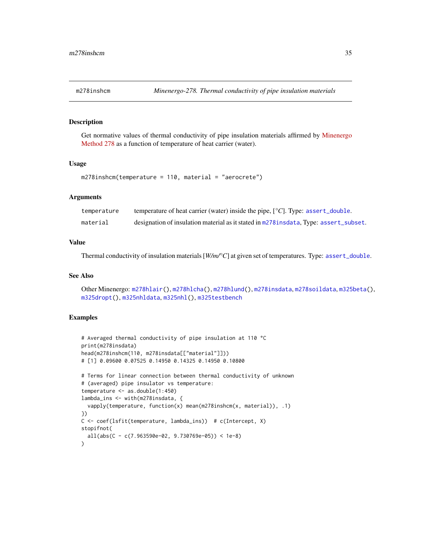<span id="page-34-1"></span><span id="page-34-0"></span>

### Description

Get normative values of thermal conductivity of pipe insulation materials affirmed by [Minenergo](http://www.complexdoc.ru/ntdtext/547103/) [Method 278](http://www.complexdoc.ru/ntdtext/547103/) as a function of temperature of heat carrier (water).

### Usage

```
m278inshcm(temperature = 110, material = "aerocrete")
```
### Arguments

| temperature | temperature of heat carrier (water) inside the pipe, $[°C]$ . Type: assert_double.      |
|-------------|-----------------------------------------------------------------------------------------|
| material    | designation of insulation material as it stated in m278 insulated. Type: assert_subset. |

### Value

Thermal conductivity of insulation materials [*W/m/°C*] at given set of temperatures. Type: [assert\\_double](#page-0-0).

### See Also

```
Other Minenergo: m278hlair(), m278hlcha(), m278hlund(), m278insdata, m278soildata, m325beta(),
m325dropt(), m325nhldata, m325nhl(), m325testbench
```
### Examples

```
# Averaged thermal conductivity of pipe insulation at 110 °C
print(m278insdata)
head(m278inshcm(110, m278insdata[["material"]]))
# [1] 0.09600 0.07525 0.14950 0.14325 0.14950 0.10800
# Terms for linear connection between thermal conductivity of unknown
# (averaged) pipe insulator vs temperature:
temperature <- as.double(1:450)
lambda_ins <- with(m278insdata, {
 vapply(temperature, function(x) mean(m278inshcm(x, material)), .1)
})
C <- coef(lsfit(temperature, lambda_ins)) # c(Intercept, X)
stopifnot(
 all(abs(C - c(7.963590e-02, 9.730769e-05)) < 1e-8)
)
```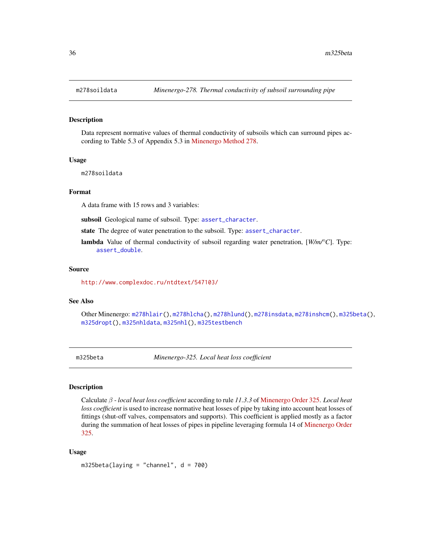#### Description

Data represent normative values of thermal conductivity of subsoils which can surround pipes according to Table 5.3 of Appendix 5.3 in [Minenergo Method 278.](http://www.complexdoc.ru/ntdtext/547103/)

#### Usage

m278soildata

### Format

A data frame with 15 rows and 3 variables:

subsoil Geological name of subsoil. Type: [assert\\_character](#page-0-0).

state The degree of water penetration to the subsoil. Type: [assert\\_character](#page-0-0).

lambda Value of thermal conductivity of subsoil regarding water penetration, [*W/m/°C*]. Type: [assert\\_double](#page-0-0).

#### Source

<http://www.complexdoc.ru/ntdtext/547103/>

#### See Also

Other Minenergo: [m278hlair\(](#page-27-2)), [m278hlcha\(](#page-29-1)), [m278hlund\(](#page-31-1)), [m278insdata](#page-33-1), [m278inshcm\(](#page-34-1)), [m325beta\(](#page-35-2)), [m325dropt\(](#page-36-1)), [m325nhldata](#page-40-1), [m325nhl\(](#page-38-1)), [m325testbench](#page-41-1)

<span id="page-35-2"></span>m325beta *Minenergo-325. Local heat loss coefficient*

#### Description

Calculate β - *local heat loss coefficient* according to rule *11.3.3* of [Minenergo Order 325.](http://docs.cntd.ru/document/902148459) *Local heat loss coefficient* is used to increase normative heat losses of pipe by taking into account heat losses of fittings (shut-off valves, compensators and supports). This coefficient is applied mostly as a factor during the summation of heat losses of pipes in pipeline leveraging formula 14 of [Minenergo Order](http://docs.cntd.ru/document/902148459) [325.](http://docs.cntd.ru/document/902148459)

### Usage

 $m325beta(laying = "channel", d = 700)$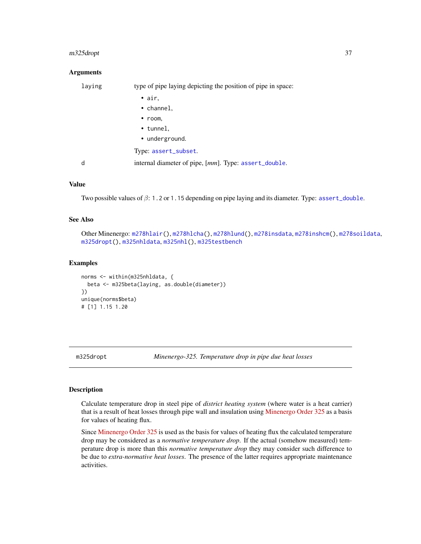#### <span id="page-36-0"></span>m325dropt 37

### **Arguments**

| laying | type of pipe laying depicting the position of pipe in space: |
|--------|--------------------------------------------------------------|
|        | $\bullet$ air,                                               |
|        | • channel,                                                   |
|        | $\cdot$ room,                                                |
|        | $\cdot$ tunnel,                                              |
|        | • underground.                                               |
|        | Type: assert_subset.                                         |
| d      | internal diameter of pipe, [mm]. Type: assert_double.        |
|        |                                                              |

### Value

Two possible values of  $\beta$ : 1.2 or 1.15 depending on pipe laying and its diameter. Type: [assert\\_double](#page-0-0).

### See Also

Other Minenergo: [m278hlair\(](#page-27-2)), [m278hlcha\(](#page-29-1)), [m278hlund\(](#page-31-1)), [m278insdata](#page-33-1), [m278inshcm\(](#page-34-1)), [m278soildata](#page-35-1), [m325dropt\(](#page-36-1)), [m325nhldata](#page-40-1), [m325nhl\(](#page-38-1)), [m325testbench](#page-41-1)

#### Examples

```
norms <- within(m325nhldata, {
  beta <- m325beta(laying, as.double(diameter))
})
unique(norms$beta)
# [1] 1.15 1.20
```
<span id="page-36-1"></span>m325dropt *Minenergo-325. Temperature drop in pipe due heat losses*

#### Description

Calculate temperature drop in steel pipe of *district heating system* (where water is a heat carrier) that is a result of heat losses through pipe wall and insulation using [Minenergo Order 325](http://docs.cntd.ru/document/902148459) as a basis for values of heating flux.

Since [Minenergo Order 325](http://docs.cntd.ru/document/902148459) is used as the basis for values of heating flux the calculated temperature drop may be considered as a *normative temperature drop*. If the actual (somehow measured) temperature drop is more than this *normative temperature drop* they may consider such difference to be due to *extra-normative heat losses*. The presence of the latter requires appropriate maintenance activities.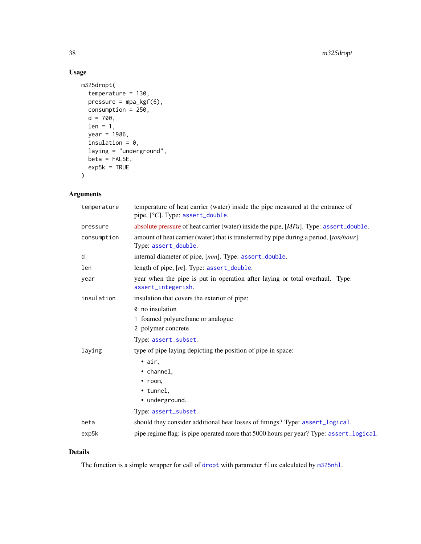### <span id="page-37-0"></span>Usage

```
m325dropt(
  temperature = 130,
  pressure = mpa_kgf(6),
  consumption = 250,
  d = 700,len = 1,
  year = 1986,
  insulation = 0,
  laying = "underground",
  beta = FALSE,exp5k = TRUE\mathcal{L}
```
### Arguments

| temperature | temperature of heat carrier (water) inside the pipe measured at the entrance of<br>pipe, $[°C]$ . Type: assert_double. |
|-------------|------------------------------------------------------------------------------------------------------------------------|
| pressure    | absolute pressure of heat carrier (water) inside the pipe, [MPa]. Type: assert_double.                                 |
| consumption | amount of heat carrier (water) that is transferred by pipe during a period, [ton/hour].<br>Type: assert_double.        |
| d           | internal diameter of pipe, [mm]. Type: assert_double.                                                                  |
| len         | length of pipe, $[m]$ . Type: assert_double.                                                                           |
| year        | year when the pipe is put in operation after laying or total overhaul. Type:<br>assert_integerish.                     |
| insulation  | insulation that covers the exterior of pipe:                                                                           |
|             | 0 no insulation                                                                                                        |
|             | 1 foamed polyurethane or analogue                                                                                      |
|             | 2 polymer concrete                                                                                                     |
|             | Type: assert_subset.                                                                                                   |
| laying      | type of pipe laying depicting the position of pipe in space:                                                           |
|             | $\bullet$ air,                                                                                                         |
|             | • channel,                                                                                                             |
|             | $\bullet$ room,                                                                                                        |
|             | • tunnel,                                                                                                              |
|             | • underground.                                                                                                         |
|             | Type: assert_subset.                                                                                                   |
| beta        | should they consider additional heat losses of fittings? Type: assert_logical.                                         |
| exp5k       | pipe regime flag: is pipe operated more that 5000 hours per year? Type: assert_logical.                                |

### Details

The function is a simple wrapper for call of [dropt](#page-23-1) with parameter flux calculated by [m325nhl](#page-38-1).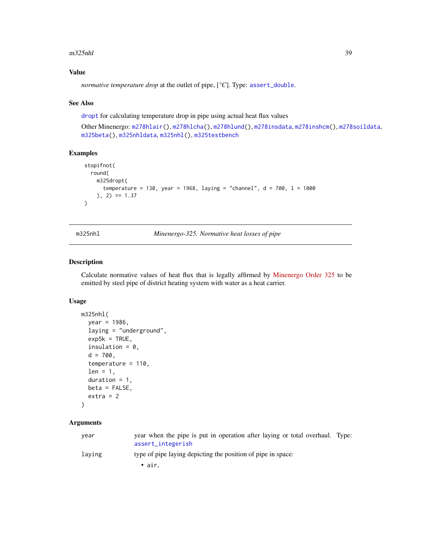#### <span id="page-38-0"></span> $m325$ nhl  $39$

### Value

*normative temperature drop* at the outlet of pipe,  $[^{\circ}C]$ . Type: [assert\\_double](#page-0-0).

### See Also

[dropt](#page-23-1) for calculating temperature drop in pipe using actual heat flux values

Other Minenergo: [m278hlair\(](#page-27-2)), [m278hlcha\(](#page-29-1)), [m278hlund\(](#page-31-1)), [m278insdata](#page-33-1), [m278inshcm\(](#page-34-1)), [m278soildata](#page-35-1), [m325beta\(](#page-35-2)), [m325nhldata](#page-40-1), [m325nhl\(](#page-38-1)), [m325testbench](#page-41-1)

### Examples

```
stopifnot(
  round(
    m325dropt(
      temperature = 130, year = 1968, laying = "channel", d = 700, l = 1000), 2) == 1.37
\lambda
```
<span id="page-38-1"></span>m325nhl *Minenergo-325. Normative heat losses of pipe*

#### Description

Calculate normative values of heat flux that is legally affirmed by [Minenergo Order 325](http://docs.cntd.ru/document/902148459) to be emitted by steel pipe of district heating system with water as a heat carrier.

#### Usage

```
m325nhl(
 year = 1986,laying = "underground",
  exp5k = TRUE,insulation = 0,
  d = 700,temperature = 110,
  len = 1,
 duration = 1,
 beta = FALSE,extra = 2)
```
### Arguments

| year   | year when the pipe is put in operation after laying or total overhaul. Type:<br>assert_integerish |  |
|--------|---------------------------------------------------------------------------------------------------|--|
| laving | type of pipe laying depicting the position of pipe in space:                                      |  |
|        | $\bullet$ air.                                                                                    |  |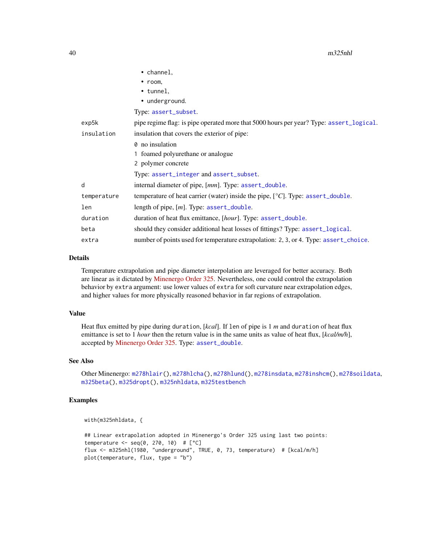<span id="page-39-0"></span>

|             | • channel,                                                                              |
|-------------|-----------------------------------------------------------------------------------------|
|             | $\cdot$ room,                                                                           |
|             | $\cdot$ tunnel,                                                                         |
|             | • underground.                                                                          |
|             | Type: assert_subset.                                                                    |
| exp5k       | pipe regime flag: is pipe operated more that 5000 hours per year? Type: assert_logical. |
| insulation  | insulation that covers the exterior of pipe:                                            |
|             | 0 no insulation                                                                         |
|             | 1 foamed polyurethane or analogue                                                       |
|             | 2 polymer concrete                                                                      |
|             | Type: assert_integer and assert_subset.                                                 |
| d           | internal diameter of pipe, [mm]. Type: assert_double.                                   |
| temperature | temperature of heat carrier (water) inside the pipe, $[°C]$ . Type: assert_double.      |
| len         | length of pipe, $[m]$ . Type: assert_double.                                            |
| duration    | duration of heat flux emittance, [hour]. Type: assert_double.                           |
| beta        | should they consider additional heat losses of fittings? Type: assert_logical.          |
| extra       | number of points used for temperature extrapolation: 2, 3, or 4. Type: assert_choice.   |

### Details

Temperature extrapolation and pipe diameter interpolation are leveraged for better accuracy. Both are linear as it dictated by [Minenergo Order 325.](http://docs.cntd.ru/document/902148459) Nevertheless, one could control the extrapolation behavior by extra argument: use lower values of extra for soft curvature near extrapolation edges, and higher values for more physically reasoned behavior in far regions of extrapolation.

#### Value

Heat flux emitted by pipe during duration, [*kcal*]. If len of pipe is 1 *m* and duration of heat flux emittance is set to 1 *hour* then the return value is in the same units as value of heat flux, [*kcal/m/h*], accepted by [Minenergo Order 325.](http://docs.cntd.ru/document/902148459) Type: [assert\\_double](#page-0-0).

### See Also

Other Minenergo: [m278hlair\(](#page-27-2)), [m278hlcha\(](#page-29-1)), [m278hlund\(](#page-31-1)), [m278insdata](#page-33-1), [m278inshcm\(](#page-34-1)), [m278soildata](#page-35-1), [m325beta\(](#page-35-2)), [m325dropt\(](#page-36-1)), [m325nhldata](#page-40-1), [m325testbench](#page-41-1)

### Examples

with(m325nhldata, {

## Linear extrapolation adopted in Minenergo's Order 325 using last two points: temperature  $\leq$  seq(0, 270, 10) #  $[°C]$ flux <- m325nhl(1980, "underground", TRUE, 0, 73, temperature) # [kcal/m/h] plot(temperature, flux, type = "b")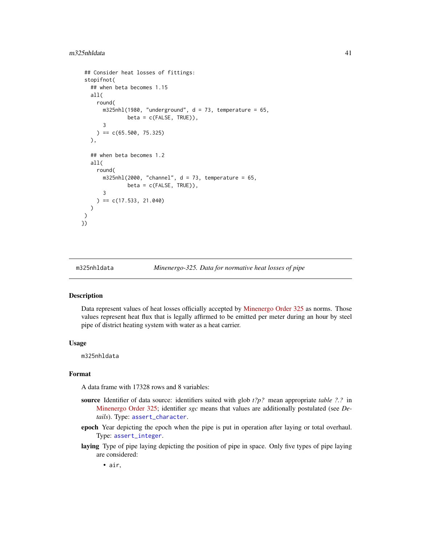```
## Consider heat losses of fittings:
 stopifnot(
   ## when beta becomes 1.15
  all(
     round(
      m325nhl(1980, 'underground', d = 73, temperature = 65,beta = c(FALSE, TRUE)),
      3
    ) = c(65.500, 75.325)),
  ## when beta becomes 1.2
  all(
     round(
      m325nhl(2000, "channel", d = 73, temperature = 65,beta = c(FALSE, TRUE)),
      3
    ) = c(17.533, 21.040))
)
})
```
<span id="page-40-1"></span>

```
m325nhldata Minenergo-325. Data for normative heat losses of pipe
```
### Description

Data represent values of heat losses officially accepted by [Minenergo Order 325](http://docs.cntd.ru/document/902148459) as norms. Those values represent heat flux that is legally affirmed to be emitted per meter during an hour by steel pipe of district heating system with water as a heat carrier.

### Usage

m325nhldata

### Format

A data frame with 17328 rows and 8 variables:

- source Identifier of data source: identifiers suited with glob *t?p?* mean appropriate *table ?.?* in [Minenergo Order 325;](http://docs.cntd.ru/document/902148459) identifier *sgc* means that values are additionally postulated (see *Details*). Type: [assert\\_character](#page-0-0).
- epoch Year depicting the epoch when the pipe is put in operation after laying or total overhaul. Type: [assert\\_integer](#page-0-0).
- laying Type of pipe laying depicting the position of pipe in space. Only five types of pipe laying are considered:

• air,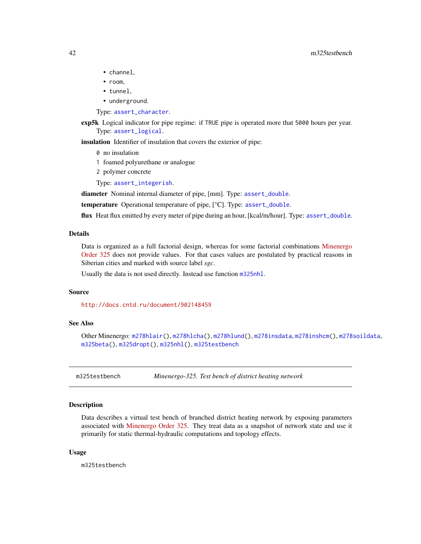- <span id="page-41-0"></span>• channel,
- room,
- tunnel,
- underground.

Type: [assert\\_character](#page-0-0).

exp5k Logical indicator for pipe regime: if TRUE pipe is operated more that 5000 hours per year. Type: [assert\\_logical](#page-0-0).

insulation Identifier of insulation that covers the exterior of pipe:

- 0 no insulation
- 1 foamed polyurethane or analogue
- 2 polymer concrete
- Type: [assert\\_integerish](#page-0-0).

diameter Nominal internal diameter of pipe, [mm]. Type: [assert\\_double](#page-0-0).

temperature Operational temperature of pipe, [°C]. Type: [assert\\_double](#page-0-0).

flux Heat flux emitted by every meter of pipe during an hour, [kcal/m/hour]. Type: [assert\\_double](#page-0-0).

#### Details

Data is organized as a full factorial design, whereas for some factorial combinations [Minenergo](http://docs.cntd.ru/document/902148459) [Order 325](http://docs.cntd.ru/document/902148459) does not provide values. For that cases values are postulated by practical reasons in Siberian cities and marked with source label *sgc*.

Usually the data is not used directly. Instead use function [m325nhl](#page-38-1).

### Source

<http://docs.cntd.ru/document/902148459>

### See Also

Other Minenergo: [m278hlair\(](#page-27-2)), [m278hlcha\(](#page-29-1)), [m278hlund\(](#page-31-1)), [m278insdata](#page-33-1), [m278inshcm\(](#page-34-1)), [m278soildata](#page-35-1), [m325beta\(](#page-35-2)), [m325dropt\(](#page-36-1)), [m325nhl\(](#page-38-1)), [m325testbench](#page-41-1)

<span id="page-41-1"></span>m325testbench *Minenergo-325. Test bench of district heating network*

### Description

Data describes a virtual test bench of branched district heating network by exposing parameters associated with [Minenergo Order 325.](http://docs.cntd.ru/document/902148459) They treat data as a snapshot of network state and use it primarily for static thermal-hydraulic computations and topology effects.

#### Usage

m325testbench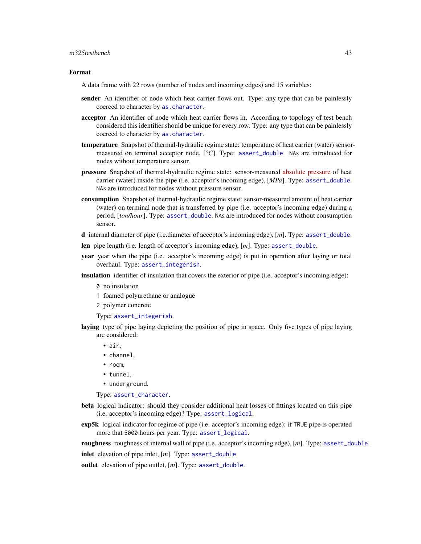#### <span id="page-42-0"></span>m325testbench 43

#### Format

A data frame with 22 rows (number of nodes and incoming edges) and 15 variables:

- sender An identifier of node which heat carrier flows out. Type: any type that can be painlessly coerced to character by [as.character](#page-0-0).
- acceptor An identifier of node which heat carrier flows in. According to topology of test bench considered this identifier should be unique for every row. Type: any type that can be painlessly coerced to character by [as.character](#page-0-0).
- **temperature** Snapshot of thermal-hydraulic regime state: temperature of heat carrier (water) sensormeasured on terminal acceptor node, [*°C*]. Type: [assert\\_double](#page-0-0). NAs are introduced for nodes without temperature sensor.
- **pressure** Snapshot of thermal-hydraulic regime state: sensor-measured [absolute pressure](https://en.wikipedia.org/wiki/Pressure_measurement#Absolute) of heat carrier (water) inside the pipe (i.e. acceptor's incoming edge), [*MPa*]. Type: [assert\\_double](#page-0-0). NAs are introduced for nodes without pressure sensor.
- consumption Snapshot of thermal-hydraulic regime state: sensor-measured amount of heat carrier (water) on terminal node that is transferred by pipe (i.e. acceptor's incoming edge) during a period, [*ton/hour*]. Type: [assert\\_double](#page-0-0). NAs are introduced for nodes without consumption sensor.
- d internal diameter of pipe (i.e.diameter of acceptor's incoming edge), [*m*]. Type: [assert\\_double](#page-0-0).
- len pipe length (i.e. length of acceptor's incoming edge), [*m*]. Type: [assert\\_double](#page-0-0).
- year year when the pipe (i.e. acceptor's incoming edge) is put in operation after laying or total overhaul. Type: [assert\\_integerish](#page-0-0).
- insulation identifier of insulation that covers the exterior of pipe (i.e. acceptor's incoming edge):
	- 0 no insulation
	- 1 foamed polyurethane or analogue
	- 2 polymer concrete

Type: [assert\\_integerish](#page-0-0).

- laying type of pipe laying depicting the position of pipe in space. Only five types of pipe laying are considered:
	- air,
	- channel,
	- room,
	- tunnel,
	- underground.

Type: [assert\\_character](#page-0-0).

- beta logical indicator: should they consider additional heat losses of fittings located on this pipe (i.e. acceptor's incoming edge)? Type: [assert\\_logical](#page-0-0).
- exp5k logical indicator for regime of pipe (i.e. acceptor's incoming edge): if TRUE pipe is operated more that 5000 hours per year. Type: [assert\\_logical](#page-0-0).

roughness roughness of internal wall of pipe (i.e. acceptor's incoming edge), [*m*]. Type: [assert\\_double](#page-0-0).

inlet elevation of pipe inlet, [*m*]. Type: [assert\\_double](#page-0-0).

outlet elevation of pipe outlet, [*m*]. Type: [assert\\_double](#page-0-0).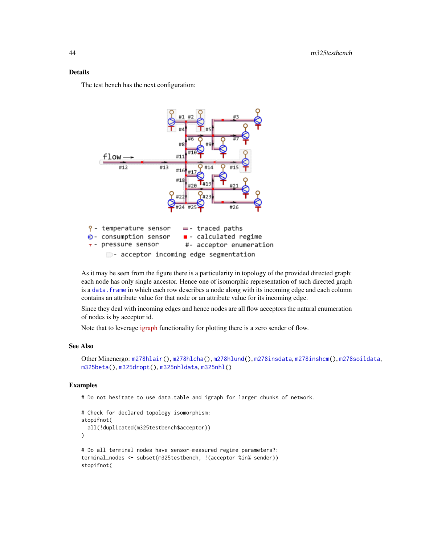### <span id="page-43-0"></span>Details

The test bench has the next configuration:



As it may be seen from the figure there is a particularity in topology of the provided directed graph: each node has only single ancestor. Hence one of isomorphic representation of such directed graph is a data. frame in which each row describes a node along with its incoming edge and each column contains an attribute value for that node or an attribute value for its incoming edge.

Since they deal with incoming edges and hence nodes are all flow acceptors the natural enumeration of nodes is by acceptor id.

Note that to leverage [igraph](https://cran.r-project.org/package=igraph) functionality for plotting there is a zero sender of flow.

#### See Also

```
Other Minenergo: m278hlair(), m278hlcha(), m278hlund(), m278insdata, m278inshcm(), m278soildata,
m325beta(), m325dropt(), m325nhldata, m325nhl()
```
### Examples

# Do not hesitate to use data.table and igraph for larger chunks of network.

```
# Check for declared topology isomorphism:
stopifnot(
 all(!duplicated(m325testbench$acceptor))
)
# Do all terminal nodes have sensor-measured regime parameters?:
terminal_nodes <- subset(m325testbench, !(acceptor %in% sender))
stopifnot(
```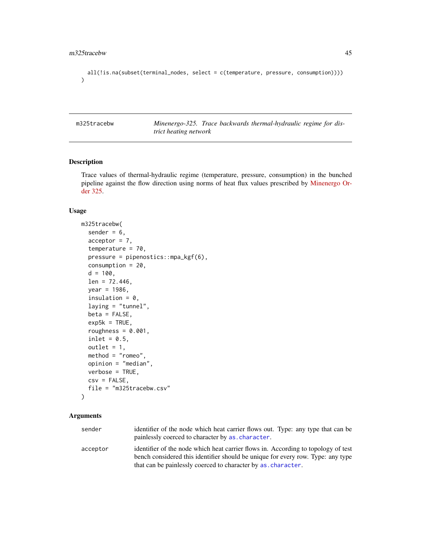```
all(!is.na(subset(terminal_nodes, select = c(temperature, pressure, consumption))))
\mathcal{L}
```
<span id="page-44-1"></span>m325tracebw *Minenergo-325. Trace backwards thermal-hydraulic regime for district heating network*

### Description

Trace values of thermal-hydraulic regime (temperature, pressure, consumption) in the bunched pipeline against the flow direction using norms of heat flux values prescribed by [Minenergo Or](http://docs.cntd.ru/document/902148459)[der 325.](http://docs.cntd.ru/document/902148459)

### Usage

```
m325tracebw(
  sender = 6,
  acceptor = 7,
  temperature = 70,
  pressure = pipenostics::mpa_kgf(6),
  consumption = 20,
  d = 100,
  len = 72.446,
  year = 1986,
  insulation = 0,
  laying = "tunnel",
  beta = FALSE,exp5k = TRUE,roughness = 0.001,
  inlet = 0.5,
  outlet = 1,
  method = "romeo",
 opinion = "median",
  verbose = TRUE,
  csv = FALSE,file = "m325tracebw.csv"
)
```
### Arguments

| sender   | identifier of the node which heat carrier flows out. Type: any type that can be<br>painlessly coerced to character by as character.                                  |
|----------|----------------------------------------------------------------------------------------------------------------------------------------------------------------------|
| acceptor | identifier of the node which heat carrier flows in. According to topology of test<br>bench considered this identifier should be unique for every row. Type: any type |
|          | that can be painlessly coerced to character by as character.                                                                                                         |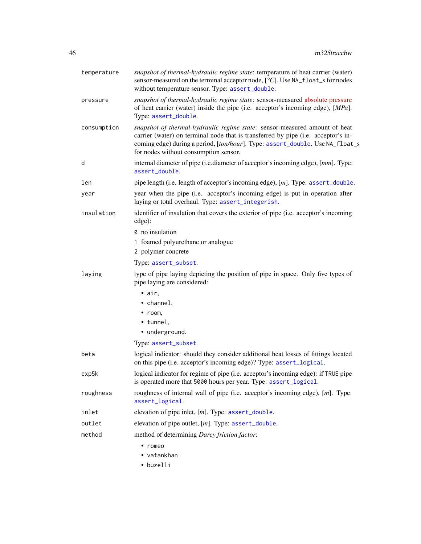<span id="page-45-0"></span>

| temperature | snapshot of thermal-hydraulic regime state: temperature of heat carrier (water)<br>sensor-measured on the terminal acceptor node, [°C]. Use NA_float_s for nodes<br>without temperature sensor. Type: assert_double.                                                                      |
|-------------|-------------------------------------------------------------------------------------------------------------------------------------------------------------------------------------------------------------------------------------------------------------------------------------------|
| pressure    | snapshot of thermal-hydraulic regime state: sensor-measured absolute pressure<br>of heat carrier (water) inside the pipe (i.e. acceptor's incoming edge), [MPa].<br>Type: assert_double.                                                                                                  |
| consumption | snapshot of thermal-hydraulic regime state: sensor-measured amount of heat<br>carrier (water) on terminal node that is transferred by pipe (i.e. acceptor's in-<br>coming edge) during a period, [ton/hour]. Type: assert_double. Use NA_float_s<br>for nodes without consumption sensor. |
| d           | internal diameter of pipe (i.e.diameter of acceptor's incoming edge), [mm]. Type:<br>assert_double.                                                                                                                                                                                       |
| len         | pipe length (i.e. length of acceptor's incoming edge), [m]. Type: assert_double.                                                                                                                                                                                                          |
| year        | year when the pipe (i.e. acceptor's incoming edge) is put in operation after<br>laying or total overhaul. Type: assert_integerish.                                                                                                                                                        |
| insulation  | identifier of insulation that covers the exterior of pipe (i.e. acceptor's incoming<br>edge):                                                                                                                                                                                             |
|             | 0 no insulation                                                                                                                                                                                                                                                                           |
|             | 1 foamed polyurethane or analogue                                                                                                                                                                                                                                                         |
|             | 2 polymer concrete                                                                                                                                                                                                                                                                        |
|             | Type: assert_subset.                                                                                                                                                                                                                                                                      |
| laying      | type of pipe laying depicting the position of pipe in space. Only five types of<br>pipe laying are considered:                                                                                                                                                                            |
|             | $\bullet$ air,                                                                                                                                                                                                                                                                            |
|             | • channel,                                                                                                                                                                                                                                                                                |
|             | $\cdot$ room,                                                                                                                                                                                                                                                                             |
|             | • tunnel,                                                                                                                                                                                                                                                                                 |
|             | · underground.                                                                                                                                                                                                                                                                            |
|             | Type: assert_subset.                                                                                                                                                                                                                                                                      |
| beta        | logical indicator: should they consider additional heat losses of fittings located<br>on this pipe (i.e. acceptor's incoming edge)? Type: assert_logical.                                                                                                                                 |
| exp5k       | logical indicator for regime of pipe (i.e. acceptor's incoming edge): if TRUE pipe<br>is operated more that 5000 hours per year. Type: assert_logical.                                                                                                                                    |
| roughness   | roughness of internal wall of pipe (i.e. acceptor's incoming edge), [m]. Type:<br>assert_logical.                                                                                                                                                                                         |
| inlet       | elevation of pipe inlet, $[m]$ . Type: $assert\_double$ .                                                                                                                                                                                                                                 |
| outlet      | elevation of pipe outlet, [m]. Type: assert_double.                                                                                                                                                                                                                                       |
| method      | method of determining Darcy friction factor:                                                                                                                                                                                                                                              |
|             | $\cdot$ romeo                                                                                                                                                                                                                                                                             |
|             | • vatankhan                                                                                                                                                                                                                                                                               |
|             | • buzelli                                                                                                                                                                                                                                                                                 |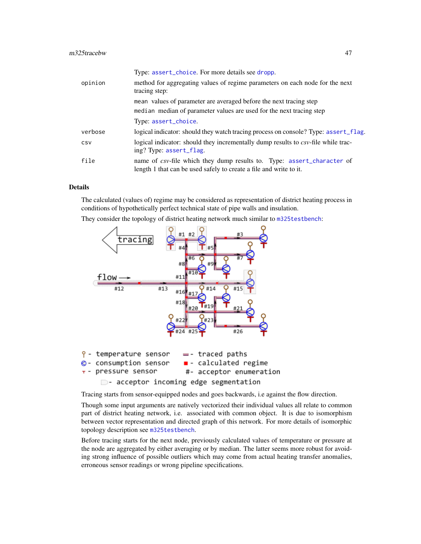<span id="page-46-0"></span>

|         | Type: assert_choice. For more details see dropp.                                                                                             |
|---------|----------------------------------------------------------------------------------------------------------------------------------------------|
| opinion | method for aggregating values of regime parameters on each node for the next<br>tracing step:                                                |
|         | mean values of parameter are averaged before the next tracing step                                                                           |
|         | median median of parameter values are used for the next tracing step                                                                         |
|         | Type: assert_choice.                                                                                                                         |
| verbose | logical indicator: should they watch tracing process on console? Type: assert_flag.                                                          |
| CSV     | logical indicator: should they incrementally dump results to csv-file while trac-<br>ing? Type: assert_flag.                                 |
| file    | name of csv-file which they dump results to. Type: assert_character of<br>length 1 that can be used safely to create a file and write to it. |

### Details

The calculated (values of) regime may be considered as representation of district heating process in conditions of hypothetically perfect technical state of pipe walls and insulation.

They consider the topology of district heating network much similar to [m325testbench](#page-41-1):



- acceptor incoming edge segmentation

Tracing starts from sensor-equipped nodes and goes backwards, i.e against the flow direction.

Though some input arguments are natively vectorized their individual values all relate to common part of district heating network, i.e. associated with common object. It is due to isomorphism between vector representation and directed graph of this network. For more details of isomorphic topology description see [m325testbench](#page-41-1).

Before tracing starts for the next node, previously calculated values of temperature or pressure at the node are aggregated by either averaging or by median. The latter seems more robust for avoiding strong influence of possible outliers which may come from actual heating transfer anomalies, erroneous sensor readings or wrong pipeline specifications.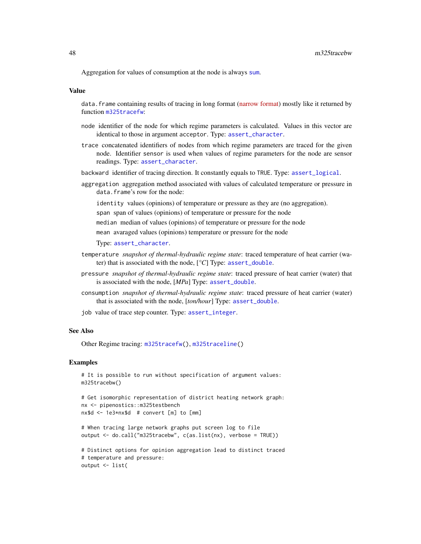<span id="page-47-0"></span>Aggregation for values of consumption at the node is always [sum](#page-0-0).

#### Value

data. frame containing results of tracing in long format [\(narrow format\)](https://en.wikipedia.org/wiki/Wide_and_narrow_data) mostly like it returned by function [m325tracefw](#page-48-1):

- node identifier of the node for which regime parameters is calculated. Values in this vector are identical to those in argument acceptor. Type: [assert\\_character](#page-0-0).
- trace concatenated identifiers of nodes from which regime parameters are traced for the given node. Identifier sensor is used when values of regime parameters for the node are sensor readings. Type: [assert\\_character](#page-0-0).
- backward identifier of tracing direction. It constantly equals to TRUE. Type: [assert\\_logical](#page-0-0).
- aggregation aggregation method associated with values of calculated temperature or pressure in data.frame's row for the node:

identity values (opinions) of temperature or pressure as they are (no aggregation).

span span of values (opinions) of temperature or pressure for the node

median median of values (opinions) of temperature or pressure for the node

mean avaraged values (opinions) temperature or pressure for the node

Type: [assert\\_character](#page-0-0).

- temperature *snapshot of thermal-hydraulic regime state*: traced temperature of heat carrier (water) that is associated with the node, [*°C*] Type: [assert\\_double](#page-0-0).
- pressure *snapshot of thermal-hydraulic regime state*: traced pressure of heat carrier (water) that is associated with the node, [*MPa*] Type: [assert\\_double](#page-0-0).
- consumption *snapshot of thermal-hydraulic regime state*: traced pressure of heat carrier (water) that is associated with the node, [*ton/hour*] Type: [assert\\_double](#page-0-0).
- job value of trace step counter. Type: [assert\\_integer](#page-0-0).

#### See Also

Other Regime tracing: [m325tracefw\(](#page-48-1)), [m325traceline\(](#page-53-1))

#### Examples

```
# It is possible to run without specification of argument values:
m325tracebw()
# Get isomorphic representation of district heating network graph:
nx <- pipenostics::m325testbench
nx$d <- 1e3*nx$d # convert [m] to [mm]
```

```
# When tracing large network graphs put screen log to file
output <- do.call("m325tracebw", c(as.list(nx), verbose = TRUE))
```

```
# Distinct options for opinion aggregation lead to distinct traced
# temperature and pressure:
output <- list(
```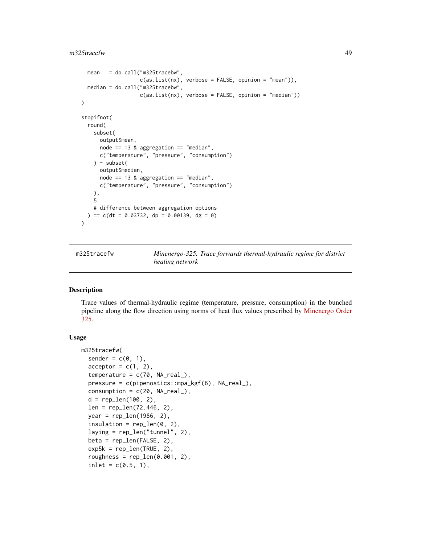#### <span id="page-48-0"></span> $m325$ tracefw  $49$

```
mean = do.call("m325tracebw",
                   c(as.list(nx), verbose = FALSE, opinion = "mean")),
  median = do.call("m325tracebw",
                   c(as.list(nx), verbose = FALSE, opinion = "median"))
)
stopifnot(
  round(
    subset(
      output$mean,
      node == 13 & aggregation == "median",
      c("temperature", "pressure", "consumption")
    ) - subset(
      output$median,
      node == 13 & aggregation == "median",
      c("temperature", "pressure", "consumption")
   ),
   5
   # difference between aggregation options
  ) == c(dt = 0.03732, dp = 0.00139, dg = 0))
```
<span id="page-48-1"></span>m325tracefw *Minenergo-325. Trace forwards thermal-hydraulic regime for district heating network*

#### Description

Trace values of thermal-hydraulic regime (temperature, pressure, consumption) in the bunched pipeline along the flow direction using norms of heat flux values prescribed by [Minenergo Order](http://docs.cntd.ru/document/902148459) [325.](http://docs.cntd.ru/document/902148459)

### Usage

```
m325tracefw(
  sender = c(0, 1),
  acceptor = c(1, 2),
  temperature = c(70, NA-real_),pressure = c(pipenostics::mpa_kgf(6), NA_real_),
  consumption = c(20, NA_{real}),
  d = rep\_len(100, 2),
  len = rep_len(72.446, 2),
  year = rep_len(1986, 2),
  insulation = rep_{en}(\emptyset, 2),
  laying = rep_len("tunnel", 2),
  beta = rep_len(FALSE, 2),
  exp5k = rep\_len(TRUE, 2),roughness = rep\_len(0.001, 2),
  inlet = c(0.5, 1),
```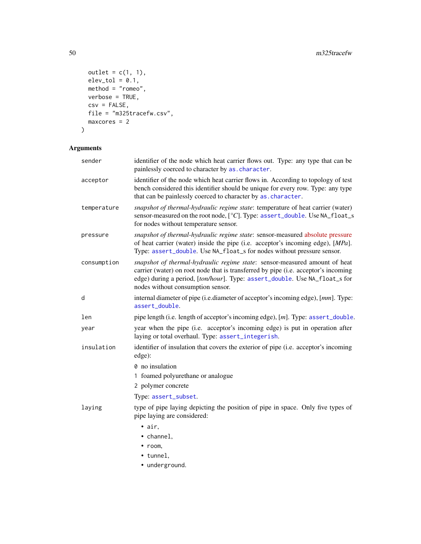```
outlet = c(1, 1),
  elev\_tol = 0.1,
  \text{method} = \text{"romeo",}verbose = TRUE,
  csv = FALSE,file = "m325tracefw.csv",
 maxcores = 2
\lambda
```
## Arguments

| sender      | identifier of the node which heat carrier flows out. Type: any type that can be<br>painlessly coerced to character by as. character.                                                                                                                                                |
|-------------|-------------------------------------------------------------------------------------------------------------------------------------------------------------------------------------------------------------------------------------------------------------------------------------|
| acceptor    | identifier of the node which heat carrier flows in. According to topology of test<br>bench considered this identifier should be unique for every row. Type: any type<br>that can be painlessly coerced to character by as. character.                                               |
| temperature | snapshot of thermal-hydraulic regime state: temperature of heat carrier (water)<br>sensor-measured on the root node, [°C]. Type: assert_double. Use NA_float_s<br>for nodes without temperature sensor.                                                                             |
| pressure    | snapshot of thermal-hydraulic regime state: sensor-measured absolute pressure<br>of heat carrier (water) inside the pipe (i.e. acceptor's incoming edge), [MPa].<br>Type: assert_double. Use NA_float_s for nodes without pressure sensor.                                          |
| consumption | snapshot of thermal-hydraulic regime state: sensor-measured amount of heat<br>carrier (water) on root node that is transferred by pipe (i.e. acceptor's incoming<br>edge) during a period, [ton/hour]. Type: assert_double. Use NA_float_s for<br>nodes without consumption sensor. |
| d           | internal diameter of pipe (i.e.diameter of acceptor's incoming edge), [mm]. Type:<br>assert_double.                                                                                                                                                                                 |
| len         | pipe length (i.e. length of acceptor's incoming edge), [m]. Type: assert_double.                                                                                                                                                                                                    |
| year        | year when the pipe (i.e. acceptor's incoming edge) is put in operation after<br>laying or total overhaul. Type: assert_integerish.                                                                                                                                                  |
| insulation  | identifier of insulation that covers the exterior of pipe (i.e. acceptor's incoming<br>edge):                                                                                                                                                                                       |
|             | 0 no insulation                                                                                                                                                                                                                                                                     |
|             | 1 foamed polyurethane or analogue                                                                                                                                                                                                                                                   |
|             | 2 polymer concrete                                                                                                                                                                                                                                                                  |
|             | Type: assert_subset.                                                                                                                                                                                                                                                                |
| laying      | type of pipe laying depicting the position of pipe in space. Only five types of<br>pipe laying are considered:                                                                                                                                                                      |
|             | $\bullet$ air,                                                                                                                                                                                                                                                                      |
|             | • channel,                                                                                                                                                                                                                                                                          |
|             | $\bullet$ room,                                                                                                                                                                                                                                                                     |
|             | • tunnel,                                                                                                                                                                                                                                                                           |
|             | • underground.                                                                                                                                                                                                                                                                      |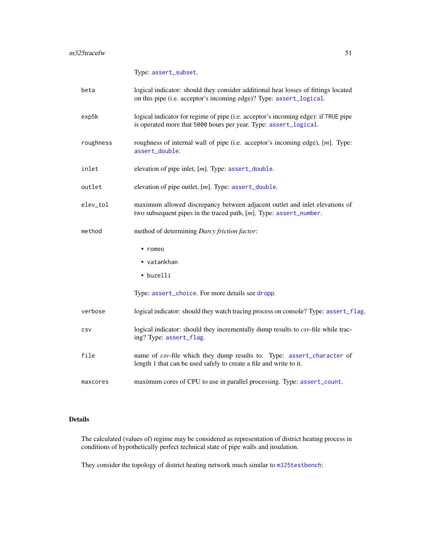Type: [assert\\_subset](#page-0-0).

<span id="page-50-0"></span>

| beta      | logical indicator: should they consider additional heat losses of fittings located<br>on this pipe (i.e. acceptor's incoming edge)? Type: assert_logical. |
|-----------|-----------------------------------------------------------------------------------------------------------------------------------------------------------|
| exp5k     | logical indicator for regime of pipe (i.e. acceptor's incoming edge): if TRUE pipe<br>is operated more that 5000 hours per year. Type: assert_logical.    |
| roughness | roughness of internal wall of pipe (i.e. acceptor's incoming edge), [m]. Type:<br>assert_double.                                                          |
| inlet     | elevation of pipe inlet, $[m]$ . Type: $assert\_double$ .                                                                                                 |
| outlet    | elevation of pipe outlet, [m]. Type: assert_double.                                                                                                       |
| elev_tol  | maximum allowed discrepancy between adjacent outlet and inlet elevations of<br>two subsequent pipes in the traced path, $[m]$ . Type: assert_number.      |
| method    | method of determining Darcy friction factor:                                                                                                              |
|           | $\cdot$ romeo<br>• vatankhan<br>• buzelli<br>Type: assert_choice. For more details see dropp.                                                             |
| verbose   | logical indicator: should they watch tracing process on console? Type: assert_flag.                                                                       |
|           |                                                                                                                                                           |
| CSV       | logical indicator: should they incrementally dump results to csv-file while trac-<br>ing? Type: assert_flag.                                              |
| file      | name of csv-file which they dump results to. Type: assert_character of<br>length 1 that can be used safely to create a file and write to it.              |
| maxcores  | maximum cores of CPU to use in parallel processing. Type: assert_count.                                                                                   |

### Details

The calculated (values of) regime may be considered as representation of district heating process in conditions of hypothetically perfect technical state of pipe walls and insulation.

They consider the topology of district heating network much similar to [m325testbench](#page-41-1):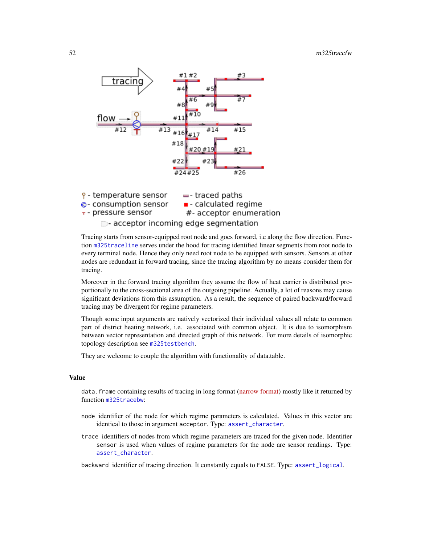<span id="page-51-0"></span>

Tracing starts from sensor-equipped root node and goes forward, i.e along the flow direction. Function [m325traceline](#page-53-1) serves under the hood for tracing identified linear segments from root node to every terminal node. Hence they only need root node to be equipped with sensors. Sensors at other nodes are redundant in forward tracing, since the tracing algorithm by no means consider them for tracing.

Moreover in the forward tracing algorithm they assume the flow of heat carrier is distributed proportionally to the cross-sectional area of the outgoing pipeline. Actually, a lot of reasons may cause significant deviations from this assumption. As a result, the sequence of paired backward/forward tracing may be divergent for regime parameters.

Though some input arguments are natively vectorized their individual values all relate to common part of district heating network, i.e. associated with common object. It is due to isomorphism between vector representation and directed graph of this network. For more details of isomorphic topology description see [m325testbench](#page-41-1).

They are welcome to couple the algorithm with functionality of data.table.

### Value

data. frame containing results of tracing in long format [\(narrow format\)](https://en.wikipedia.org/wiki/Wide_and_narrow_data) mostly like it returned by function [m325tracebw](#page-44-1):

- node identifier of the node for which regime parameters is calculated. Values in this vector are identical to those in argument acceptor. Type: [assert\\_character](#page-0-0).
- trace identifiers of nodes from which regime parameters are traced for the given node. Identifier sensor is used when values of regime parameters for the node are sensor readings. Type: [assert\\_character](#page-0-0).

backward identifier of tracing direction. It constantly equals to FALSE. Type: [assert\\_logical](#page-0-0).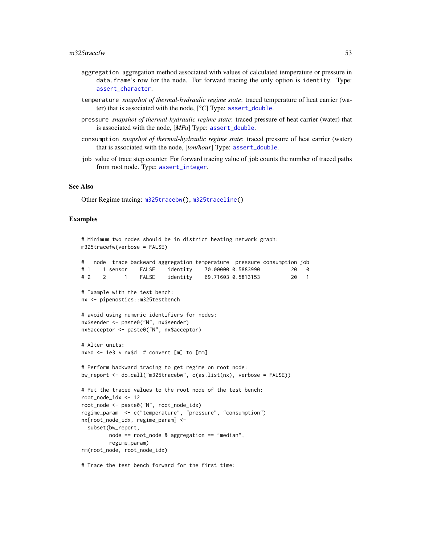- <span id="page-52-0"></span>aggregation aggregation method associated with values of calculated temperature or pressure in data.frame's row for the node. For forward tracing the only option is identity. Type: [assert\\_character](#page-0-0).
- temperature *snapshot of thermal-hydraulic regime state*: traced temperature of heat carrier (water) that is associated with the node, [*°C*] Type: [assert\\_double](#page-0-0).
- pressure *snapshot of thermal-hydraulic regime state*: traced pressure of heat carrier (water) that is associated with the node, [*MPa*] Type: [assert\\_double](#page-0-0).
- consumption *snapshot of thermal-hydraulic regime state*: traced pressure of heat carrier (water) that is associated with the node, [*ton/hour*] Type: [assert\\_double](#page-0-0).
- job value of trace step counter. For forward tracing value of job counts the number of traced paths from root node. Type: [assert\\_integer](#page-0-0).

#### See Also

Other Regime tracing: [m325tracebw\(](#page-44-1)), [m325traceline\(](#page-53-1))

### Examples

```
# Minimum two nodes should be in district heating network graph:
m325tracefw(verbose = FALSE)
    # node trace backward aggregation temperature pressure consumption job
```

| <b>**</b> |    |  | Troue trace backward aggregation temperature pressure consumption job |  |     |
|-----------|----|--|-----------------------------------------------------------------------|--|-----|
|           | #1 |  |                                                                       |  | 200 |
|           | #2 |  | FALSE identity 69.71603 0.5813153                                     |  |     |

```
# Example with the test bench:
nx <- pipenostics::m325testbench
```

```
# avoid using numeric identifiers for nodes:
nx$sender <- paste0("N", nx$sender)
nx$acceptor <- paste0("N", nx$acceptor)
```

```
# Alter units:
nx$d < -1e3 * nx$d # convert [m] to [mm]
```

```
# Perform backward tracing to get regime on root node:
bw_report <- do.call("m325tracebw", c(as.list(nx), verbose = FALSE))
# Put the traced values to the root node of the test bench:
root_node_idx <- 12
root_node <- paste0("N", root_node_idx)
regime_param <- c("temperature", "pressure", "consumption")
nx[root_node_idx, regime_param] <-
 subset(bw_report,
        node == root_node & aggregation == "median",
        regime_param)
```

```
rm(root_node, root_node_idx)
```
# Trace the test bench forward for the first time: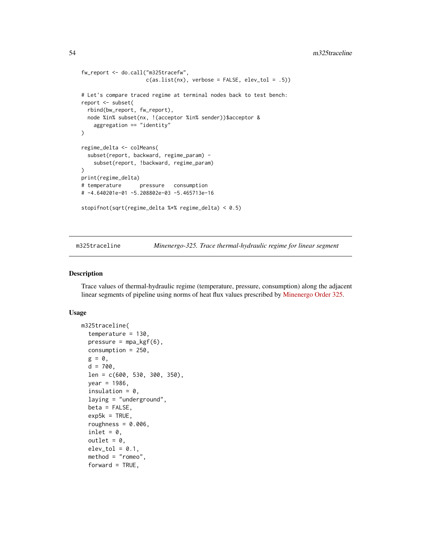```
fw_report <- do.call("m325tracefw",
                     c(as.list(nx), verbose = FALSE, elev_tol = .5))
# Let's compare traced regime at terminal nodes back to test bench:
report <- subset(
  rbind(bw_report, fw_report),
  node %in% subset(nx, !(acceptor %in% sender))$acceptor &
    aggregation == "identity"
\lambdaregime_delta <- colMeans(
  subset(report, backward, regime_param) -
    subset(report, !backward, regime_param)
)
print(regime_delta)
# temperature pressure consumption
# -4.640201e-01 -5.208802e-03 -5.465713e-16
stopifnot(sqrt(regime_delta %*% regime_delta) < 0.5)
```
<span id="page-53-1"></span>m325traceline *Minenergo-325. Trace thermal-hydraulic regime for linear segment*

### Description

Trace values of thermal-hydraulic regime (temperature, pressure, consumption) along the adjacent linear segments of pipeline using norms of heat flux values prescribed by [Minenergo Order 325.](http://docs.cntd.ru/document/902148459)

#### Usage

```
m325traceline(
  temperature = 130,
  pressure = mpa_kgf(6),
  consumption = 250,
  g = 0,
  d = 700,len = c(600, 530, 300, 350),
  year = 1986,
  insulation = 0,
  laying = "underground",
  beta = FALSE,exp5k = TRUE,roughness = 0.006,
  inlet = 0,
  outlet = 0.
  elev\_tol = 0.1,
  method = "romeo",forward = TRUE,
```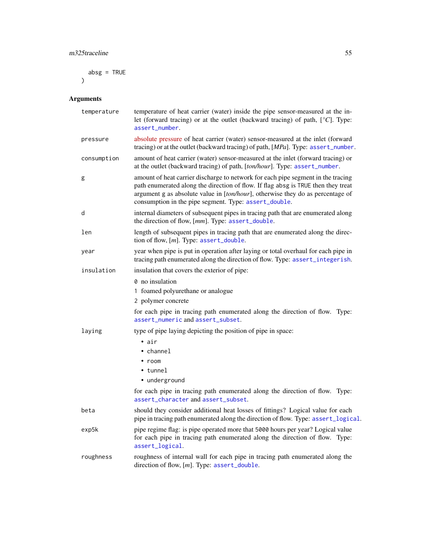<span id="page-54-0"></span> $absg = TRUE$ 

 $\overline{)}$ 

### Arguments

| temperature | temperature of heat carrier (water) inside the pipe sensor-measured at the in-<br>let (forward tracing) or at the outlet (backward tracing) of path, [°C]. Type:<br>assert_number.                                                                                                                               |  |  |
|-------------|------------------------------------------------------------------------------------------------------------------------------------------------------------------------------------------------------------------------------------------------------------------------------------------------------------------|--|--|
| pressure    | absolute pressure of heat carrier (water) sensor-measured at the inlet (forward<br>tracing) or at the outlet (backward tracing) of path, $[MPa]$ . Type: assert_number.                                                                                                                                          |  |  |
| consumption | amount of heat carrier (water) sensor-measured at the inlet (forward tracing) or<br>at the outlet (backward tracing) of path, [ton/hour]. Type: assert_number.                                                                                                                                                   |  |  |
| g           | amount of heat carrier discharge to network for each pipe segment in the tracing<br>path enumerated along the direction of flow. If flag absg is TRUE then they treat<br>argument g as absolute value in [ton/hour], otherwise they do as percentage of<br>consumption in the pipe segment. Type: assert_double. |  |  |
| d           | internal diameters of subsequent pipes in tracing path that are enumerated along<br>the direction of flow, [mm]. Type: assert_double.                                                                                                                                                                            |  |  |
| len         | length of subsequent pipes in tracing path that are enumerated along the direc-<br>tion of flow, $[m]$ . Type: assert_double.                                                                                                                                                                                    |  |  |
| year        | year when pipe is put in operation after laying or total overhaul for each pipe in<br>tracing path enumerated along the direction of flow. Type: assert_integerish.                                                                                                                                              |  |  |
| insulation  | insulation that covers the exterior of pipe:                                                                                                                                                                                                                                                                     |  |  |
|             | 0 no insulation                                                                                                                                                                                                                                                                                                  |  |  |
|             | 1 foamed polyurethane or analogue                                                                                                                                                                                                                                                                                |  |  |
|             | 2 polymer concrete                                                                                                                                                                                                                                                                                               |  |  |
|             | for each pipe in tracing path enumerated along the direction of flow. Type:<br>assert_numeric and assert_subset.                                                                                                                                                                                                 |  |  |
| laying      | type of pipe laying depicting the position of pipe in space:                                                                                                                                                                                                                                                     |  |  |
|             | $\bullet$ air                                                                                                                                                                                                                                                                                                    |  |  |
|             | • channel                                                                                                                                                                                                                                                                                                        |  |  |
|             | $\cdot$ room                                                                                                                                                                                                                                                                                                     |  |  |
|             | $\bullet$ tunnel                                                                                                                                                                                                                                                                                                 |  |  |
|             | • underground                                                                                                                                                                                                                                                                                                    |  |  |
|             | for each pipe in tracing path enumerated along the direction of flow. Type:<br>assert_character and assert_subset.                                                                                                                                                                                               |  |  |
| beta        | should they consider additional heat losses of fittings? Logical value for each<br>pipe in tracing path enumerated along the direction of flow. Type: assert_logical.                                                                                                                                            |  |  |
| exp5k       | pipe regime flag: is pipe operated more that 5000 hours per year? Logical value<br>for each pipe in tracing path enumerated along the direction of flow. Type:<br>assert_logical.                                                                                                                                |  |  |
| roughness   | roughness of internal wall for each pipe in tracing path enumerated along the<br>direction of flow, $[m]$ . Type: assert_double.                                                                                                                                                                                 |  |  |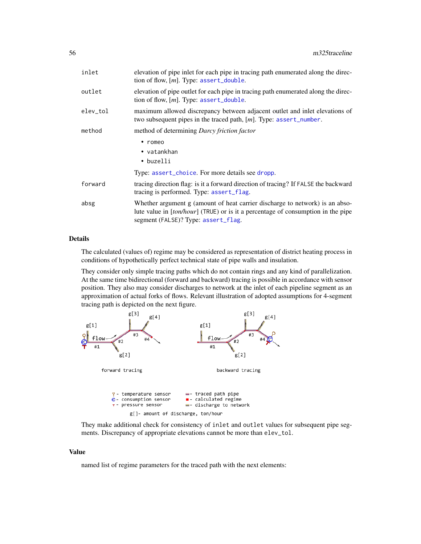<span id="page-55-0"></span>

| inlet    | elevation of pipe inlet for each pipe in tracing path enumerated along the direc-<br>tion of flow, $[m]$ . Type: assert_double.                                                                         |  |  |
|----------|---------------------------------------------------------------------------------------------------------------------------------------------------------------------------------------------------------|--|--|
| outlet   | elevation of pipe outlet for each pipe in tracing path enumerated along the direc-<br>tion of flow, $[m]$ . Type: assert_double.                                                                        |  |  |
| elev_tol | maximum allowed discrepancy between adjacent outlet and inlet elevations of<br>two subsequent pipes in the traced path, $[m]$ . Type: assert_number.                                                    |  |  |
| method   | method of determining Darcy friction factor                                                                                                                                                             |  |  |
|          | $\cdot$ romeo                                                                                                                                                                                           |  |  |
|          | • vatankhan                                                                                                                                                                                             |  |  |
|          | • buzelli                                                                                                                                                                                               |  |  |
|          | Type: assert_choice. For more details see dropp.                                                                                                                                                        |  |  |
| forward  | tracing direction flag: is it a forward direction of tracing? If FALSE the backward<br>tracing is performed. Type: assert_flag.                                                                         |  |  |
| absg     | Whether argument g (amount of heat carrier discharge to network) is an abso-<br>lute value in [ton/hour] (TRUE) or is it a percentage of consumption in the pipe<br>segment (FALSE)? Type: assert_flag. |  |  |
|          |                                                                                                                                                                                                         |  |  |

### Details

The calculated (values of) regime may be considered as representation of district heating process in conditions of hypothetically perfect technical state of pipe walls and insulation.

They consider only simple tracing paths which do not contain rings and any kind of parallelization. At the same time bidirectional (forward and backward) tracing is possible in accordance with sensor position. They also may consider discharges to network at the inlet of each pipeline segment as an approximation of actual forks of flows. Relevant illustration of adopted assumptions for 4-segment tracing path is depicted on the next figure.



They make additional check for consistency of inlet and outlet values for subsequent pipe segments. Discrepancy of appropriate elevations cannot be more than elev\_tol.

### Value

named list of regime parameters for the traced path with the next elements: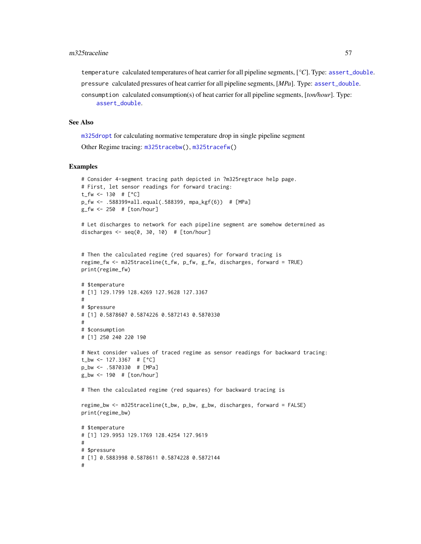<span id="page-56-0"></span>temperature calculated temperatures of heat carrier for all pipeline segments, [*°C*]. Type: [assert\\_double](#page-0-0).

pressure calculated pressures of heat carrier for all pipeline segments, [*MPa*]. Type: [assert\\_double](#page-0-0).

```
consumption calculated consumption(s) of heat carrier for all pipeline segments, [ton/hour]. Type:
     assert_double.
```
### See Also

[m325dropt](#page-36-1) for calculating normative temperature drop in single pipeline segment

```
Other Regime tracing: m325tracebw(), m325tracefw()
```
#### Examples

```
# Consider 4-segment tracing path depicted in ?m325regtrace help page.
# First, let sensor readings for forward tracing:
t_fw <- 130 # [°C]p_fw <- .588399*all.equal(.588399, mpa_kgf(6)) # [MPa]
g_fw <- 250 # [ton/hour]
# Let discharges to network for each pipeline segment are somehow determined as
discharges \leq seq(0, 30, 10) # [ton/hour]
# Then the calculated regime (red squares) for forward tracing is
regime_fw <- m325traceline(t_fw, p_fw, g_fw, discharges, forward = TRUE)
print(regime_fw)
# $temperature
# [1] 129.1799 128.4269 127.9628 127.3367
#
# $pressure
# [1] 0.5878607 0.5874226 0.5872143 0.5870330
#
# $consumption
# [1] 250 240 220 190
# Next consider values of traced regime as sensor readings for backward tracing:
t_bw <- 127.3367 # [°C]
p_bw <- .5870330 # [MPa]
g_bw <- 190 # [ton/hour]
# Then the calculated regime (red squares) for backward tracing is
regime_bw <- m325traceline(t_bw, p_bw, g_bw, discharges, forward = FALSE)
print(regime_bw)
# $temperature
# [1] 129.9953 129.1769 128.4254 127.9619
```
# # \$pressure # [1] 0.5883998 0.5878611 0.5874228 0.5872144 #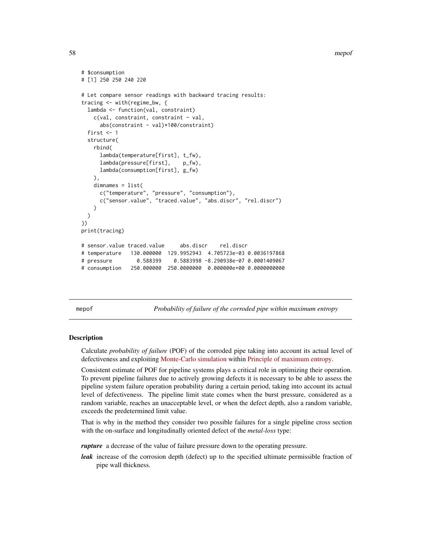58 mepof

```
# $consumption
# [1] 250 250 240 220
# Let compare sensor readings with backward tracing results:
tracing <- with(regime_bw, {
 lambda <- function(val, constraint)
   c(val, constraint, constraint - val,
     abs(constraint - val)*100/constraint)
 first <-1structure(
   rbind(
     lambda(temperature[first], t_fw),
     lambda(pressure[first], p_fw),
     lambda(consumption[first], g_fw)
   ),
   dimnames = list(
     c("temperature", "pressure", "consumption"),
     c("sensor.value", "traced.value", "abs.discr", "rel.discr")
   \lambda)
})
print(tracing)
# sensor.value traced.value abs.discr rel.discr
# temperature 130.000000 129.9952943 4.705723e-03 0.0036197868
# pressure 0.588399 0.5883998 -8.290938e-07 0.0001409067
# consumption 250.000000 250.0000000 0.000000e+00 0.0000000000
```
mepof *Probability of failure of the corroded pipe within maximum entropy*

#### **Description**

Calculate *probability of failure* (POF) of the corroded pipe taking into account its actual level of defectiveness and exploiting [Monte-Carlo simulation](https://en.wikipedia.org/wiki/Monte_Carlo_method#Monte_Carlo_and_random_numbers) within [Principle of maximum entropy.](https://en.wikipedia.org/wiki/Principle_of_maximum_entropy)

Consistent estimate of POF for pipeline systems plays a critical role in optimizing their operation. To prevent pipeline failures due to actively growing defects it is necessary to be able to assess the pipeline system failure operation probability during a certain period, taking into account its actual level of defectiveness. The pipeline limit state comes when the burst pressure, considered as a random variable, reaches an unacceptable level, or when the defect depth, also a random variable, exceeds the predetermined limit value.

That is why in the method they consider two possible failures for a single pipeline cross section with the on-surface and longitudinally oriented defect of the *metal-loss* type:

*rupture* a decrease of the value of failure pressure down to the operating pressure.

*leak* increase of the corrosion depth (defect) up to the specified ultimate permissible fraction of pipe wall thickness.

<span id="page-57-0"></span>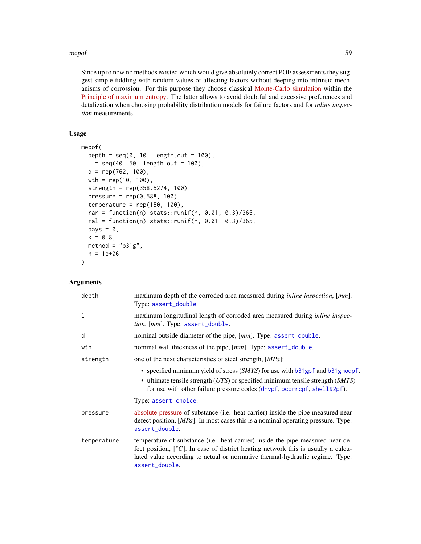#### <span id="page-58-0"></span>mepof 59

Since up to now no methods existed which would give absolutely correct POF assessments they suggest simple fiddling with random values of affecting factors without deeping into intrinsic mechanisms of corrossion. For this purpose they choose classical [Monte-Carlo simulation](https://en.wikipedia.org/wiki/Monte_Carlo_method#Monte_Carlo_and_random_numbers) within the [Principle of maximum entropy.](https://en.wikipedia.org/wiki/Principle_of_maximum_entropy) The latter allows to avoid doubtful and excessive preferences and detalization when choosing probability distribution models for failure factors and for *inline inspection* measurements.

### Usage

```
mepof(
  depth = seq(0, 10, length.out = 100),
  l = seq(40, 50, length.out = 100),d = rep(762, 100),
  wth = rep(10, 100),
  strength = rep(358.5274, 100),
  pressure = rep(0.588, 100),temperature = rep(150, 100),
  rar = function(n) stats::runif(n, 0.01, 0.3)/365,
  ral = function(n) stats::runif(n, 0.01, 0.3)/365,days = \theta,
  k = 0.8,
  method = "b31g",
  n = 1e+06
)
```
### **Arguments**

| depth       | maximum depth of the corroded area measured during <i>inline inspection</i> , [mm].<br>Type: assert_double.                                                                                                                                                                      |  |  |
|-------------|----------------------------------------------------------------------------------------------------------------------------------------------------------------------------------------------------------------------------------------------------------------------------------|--|--|
| 1           | maximum longitudinal length of corroded area measured during <i>inline inspec</i> -<br>tion, [mm]. Type: assert_double.                                                                                                                                                          |  |  |
| d           | nominal outside diameter of the pipe, [mm]. Type: assert_double.                                                                                                                                                                                                                 |  |  |
| wth         | nominal wall thickness of the pipe, [mm]. Type: assert_double.                                                                                                                                                                                                                   |  |  |
| strength    | one of the next characteristics of steel strength, [MPa]:                                                                                                                                                                                                                        |  |  |
|             | • specified minimum yield of stress $(SMYS)$ for use with b31gpf and b31gmodpf.<br>$\bullet$ ultimate tensile strength ( <i>UTS</i> ) or specified minimum tensile strength ( <i>SMTS</i> )<br>for use with other failure pressure codes (dnvpf, pcorrcpf, shell92pf).           |  |  |
|             | Type: assert_choice.                                                                                                                                                                                                                                                             |  |  |
| pressure    | absolute pressure of substance (i.e. heat carrier) inside the pipe measured near<br>defect position, [MPa]. In most cases this is a nominal operating pressure. Type:<br>assert_double.                                                                                          |  |  |
| temperature | temperature of substance ( <i>i.e.</i> heat carrier) inside the pipe measured near de-<br>fect position, $[°C]$ . In case of district heating network this is usually a calcu-<br>lated value according to actual or normative thermal-hydraulic regime. Type:<br>assert_double. |  |  |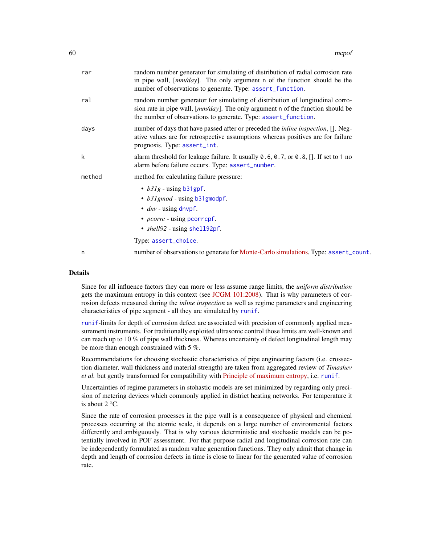<span id="page-59-0"></span>

| rar    | random number generator for simulating of distribution of radial corrosion rate<br>in pipe wall, [mm/day]. The only argument n of the function should be the<br>number of observations to generate. Type: assert_function.            |
|--------|---------------------------------------------------------------------------------------------------------------------------------------------------------------------------------------------------------------------------------------|
| ral    | random number generator for simulating of distribution of longitudinal corro-<br>sion rate in pipe wall, $[mm/day]$ . The only argument n of the function should be<br>the number of observations to generate. Type: assert_function. |
| days   | number of days that have passed after or preceded the <i>inline inspection</i> , []. Neg-<br>ative values are for retrospective assumptions whereas positives are for failure<br>prognosis. Type: assert_int.                         |
| k      | alarm threshold for leakage failure. It usually 0.6, 0.7, or 0.8, []. If set to 1 no<br>alarm before failure occurs. Type: assert_number.                                                                                             |
| method | method for calculating failure pressure:                                                                                                                                                                                              |
|        | • $b31g$ - using b31gpf.<br>• b31gmod - using b31gmodpf.                                                                                                                                                                              |
|        | $\bullet$ <i>dnv</i> - using dnvpf.                                                                                                                                                                                                   |
|        | • <i>pcorrc</i> - using pcorrcpf.                                                                                                                                                                                                     |
|        | • shell92 - using shell92pf.                                                                                                                                                                                                          |
|        | Type: assert_choice.                                                                                                                                                                                                                  |
| n      | number of observations to generate for Monte-Carlo simulations, Type: assert_count.                                                                                                                                                   |

#### Details

Since for all influence factors they can more or less assume range limits, the *uniform distribution* gets the maximum entropy in this context (see [JCGM 101:2008\)](https://www.bipm.org/utils/common/documents/jcgm/JCGM_101_2008_E.pdf). That is why parameters of corrosion defects measured during the *inline inspection* as well as regime parameters and engineering characteristics of pipe segment - all they are simulated by [runif](#page-0-0).

[runif](#page-0-0)-limits for depth of corrosion defect are associated with precision of commonly applied measurement instruments. For traditionally exploited ultrasonic control those limits are well-known and can reach up to 10 % of pipe wall thickness. Whereas uncertainty of defect longitudinal length may be more than enough constrained with 5 %.

Recommendations for choosing stochastic characteristics of pipe engineering factors (i.e. crossection diameter, wall thickness and material strength) are taken from aggregated review of *Timashev et al.* but gently transformed for compatibility with [Principle of maximum entropy,](https://en.wikipedia.org/wiki/Principle_of_maximum_entropy) i.e. [runif](#page-0-0).

Uncertainties of regime parameters in stohastic models are set minimized by regarding only precision of metering devices which commonly applied in district heating networks. For temperature it is about 2 °C.

Since the rate of corrosion processes in the pipe wall is a consequence of physical and chemical processes occurring at the atomic scale, it depends on a large number of environmental factors differently and ambiguously. That is why various deterministic and stochastic models can be potentially involved in POF assessment. For that purpose radial and longitudinal corrosion rate can be independently formulated as random value generation functions. They only admit that change in depth and length of corrosion defects in time is close to linear for the generated value of corrosion rate.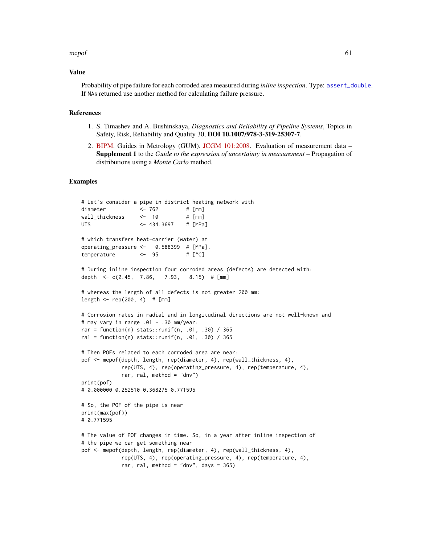#### <span id="page-60-0"></span>mepof 61

#### Value

Probability of pipe failure for each corroded area measured during *inline inspection*. Type: [assert\\_double](#page-0-0). If NAs returned use another method for calculating failure pressure.

### References

- 1. S. Timashev and A. Bushinskaya, *Diagnostics and Reliability of Pipeline Systems*, Topics in Safety, Risk, Reliability and Quality 30, DOI 10.1007/978-3-319-25307-7.
- 2. [BIPM.](https://www.bipm.org/en/about-us/) Guides in Metrology (GUM). [JCGM 101:2008.](https://www.bipm.org/utils/common/documents/jcgm/JCGM_101_2008_E.pdf) Evaluation of measurement data Supplement 1 to the *Guide to the expression of uncertainty in measurement* – Propagation of distributions using a *Monte Carlo* method.

### Examples

```
# Let's consider a pipe in district heating network with
diameter \t\t < -762 \t\t # [mm]wall_thickness <- 10 # [mm]
UTS <- 434.3697 # [MPa]
# which transfers heat-carrier (water) at
operating_pressure \leq -0.588399 # [MPa].
temperature <- 95 # [°C]
# During inline inspection four corroded areas (defects) are detected with:
depth \leq c(2.45, 7.86, 7.93, 8.15) # [mm]
# whereas the length of all defects is not greater 200 mm:
length <- rep(200, 4) # [mm]
# Corrosion rates in radial and in longitudinal directions are not well-known and
# may vary in range .01 - .30 mm/year:
rar = function(n) stats::runif(n, .01, .30) / 365
ral = function(n) stats::runif(n, .01, .30) / 365
# Then POFs related to each corroded area are near:
pof <- mepof(depth, length, rep(diameter, 4), rep(wall_thickness, 4),
            rep(UTS, 4), rep(operating_pressure, 4), rep(temperature, 4),
            rar, ral, method = "dnv")
print(pof)
# 0.000000 0.252510 0.368275 0.771595
# So, the POF of the pipe is near
print(max(pof))
# 0.771595
# The value of POF changes in time. So, in a year after inline inspection of
# the pipe we can get something near
pof <- mepof(depth, length, rep(diameter, 4), rep(wall_thickness, 4),
            rep(UTS, 4), rep(operating_pressure, 4), rep(temperature, 4),
            rar, ral, method = "dnv", days = 365)
```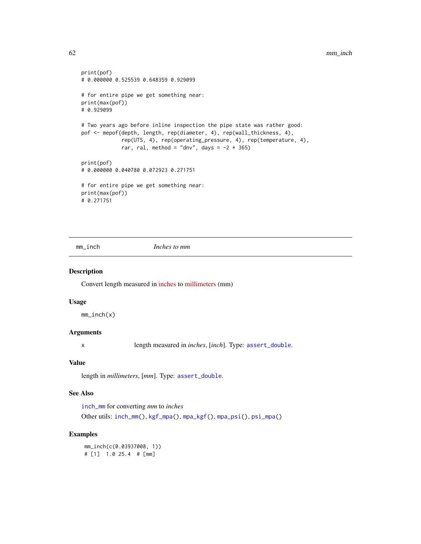```
print(pof)
# 0.000000 0.525539 0.648359 0.929099
# for entire pipe we get something near:
print(max(pof))
# 0.929099
# Two years ago before inline inspection the pipe state was rather good:
pof <- mepof(depth, length, rep(diameter, 4), rep(wall_thickness, 4),
             rep(UTS, 4), rep(operating_pressure, 4), rep(temperature, 4),
             rar, ral, method = "dnv", days = -2 \times 365)
print(pof)
# 0.000000 0.040780 0.072923 0.271751
# for entire pipe we get something near:
print(max(pof))
# 0.271751
```
<span id="page-61-1"></span>mm\_inch *Inches to mm*

### Description

Convert length measured in [inches](https://en.wikipedia.org/wiki/Inch) to [millimeters](https://en.wikipedia.org/wiki/Millimetre) (mm)

### Usage

mm\_inch(x)

### Arguments

x length measured in *inches*, [*inch*]. Type: [assert\\_double](#page-0-0).

### Value

length in *millimeters*, [*mm*]. Type: [assert\\_double](#page-0-0).

### See Also

[inch\\_mm](#page-26-1) for converting *mm* to *inches* Other utils: [inch\\_mm\(](#page-26-1)), [kgf\\_mpa\(](#page-27-1)), [mpa\\_kgf\(](#page-62-1)), [mpa\\_psi\(](#page-62-2)), [psi\\_mpa\(](#page-65-2))

### Examples

mm\_inch(c(0.03937008, 1)) # [1] 1.0 25.4 # [mm]

<span id="page-61-0"></span>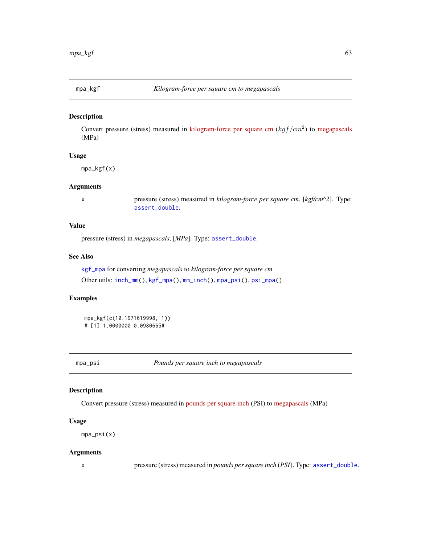<span id="page-62-1"></span><span id="page-62-0"></span>

### Description

Convert pressure (stress) measured in [kilogram-force per square cm](https://en.wikipedia.org/wiki/Kilogram-force_per_square_centimetre)  $(kgf/cm^2)$  to [megapascals](https://en.wikipedia.org/wiki/Pascal_(unit)) (MPa)

### Usage

mpa\_kgf(x)

#### Arguments

x pressure (stress) measured in *kilogram-force per square cm*, [*kgf/cm^2*]. Type: [assert\\_double](#page-0-0).

### Value

pressure (stress) in *megapascals*, [*MPa*]. Type: [assert\\_double](#page-0-0).

### See Also

```
kgf_mpa for converting megapascals to kilogram-force per square cm
Other utils: inch_mm(), kgf_mpa(), mm_inch(), mpa_psi(), psi_mpa()
```
### Examples

```
mpa_kgf(c(10.1971619998, 1))
# [1] 1.0000000 0.0980665#'
```
<span id="page-62-2"></span>mpa\_psi *Pounds per square inch to megapascals*

### Description

Convert pressure (stress) measured in [pounds per square inch](https://en.wikipedia.org/wiki/Pounds_per_square_inch) (PSI) to [megapascals](https://en.wikipedia.org/wiki/Pascal_(unit)) (MPa)

#### Usage

mpa\_psi(x)

#### Arguments

x pressure (stress) measured in *pounds per square inch* (*PSI*). Type: [assert\\_double](#page-0-0).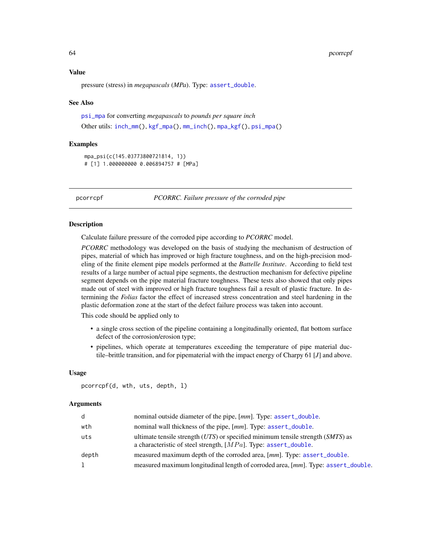#### 64 pcorrcpf

#### Value

pressure (stress) in *megapascals* (*MPa*). Type: [assert\\_double](#page-0-0).

#### See Also

```
psi_mpa for converting megapascals to pounds per square inch
Other utils: inch_mm(), kgf_mpa(), mm_inch(), mpa_kgf(), psi_mpa()
```
### Examples

```
mpa_psi(c(145.03773800721814, 1))
# [1] 1.000000000 0.006894757 # [MPa]
```
<span id="page-63-1"></span>pcorrcpf *PCORRC. Failure pressure of the corroded pipe*

### **Description**

Calculate failure pressure of the corroded pipe according to *PCORRC* model.

*PCORRC* methodology was developed on the basis of studying the mechanism of destruction of pipes, material of which has improved or high fracture toughness, and on the high-precision modeling of the finite element pipe models performed at the *Battelle Institute*. According to field test results of a large number of actual pipe segments, the destruction mechanism for defective pipeline segment depends on the pipe material fracture toughness. These tests also showed that only pipes made out of steel with improved or high fracture toughness fail a result of plastic fracture. In determining the *Folias* factor the effect of increased stress concentration and steel hardening in the plastic deformation zone at the start of the defect failure process was taken into account.

This code should be applied only to

- a single cross section of the pipeline containing a longitudinally oriented, flat bottom surface defect of the corrosion/erosion type;
- pipelines, which operate at temperatures exceeding the temperature of pipe material ductile–brittle transition, and for pipematerial with the impact energy of Charpy 61 [*J*] and above.

### Usage

```
pcorrcpf(d, wth, uts, depth, l)
```
### Arguments

| d     | nominal outside diameter of the pipe, [mm]. Type: assert_double.                                                                                          |
|-------|-----------------------------------------------------------------------------------------------------------------------------------------------------------|
| wth   | nominal wall thickness of the pipe, [mm]. Type: assert_double.                                                                                            |
| uts   | ultimate tensile strength $(UTS)$ or specified minimum tensile strength $(SMTS)$ as<br>a characteristic of steel strength, $[MPa]$ . Type: assert_double. |
| depth | measured maximum depth of the corroded area, [mm]. Type: assert_double.                                                                                   |
| l.    | measured maximum longitudinal length of corroded area, [mm]. Type: assert_double.                                                                         |

<span id="page-63-0"></span>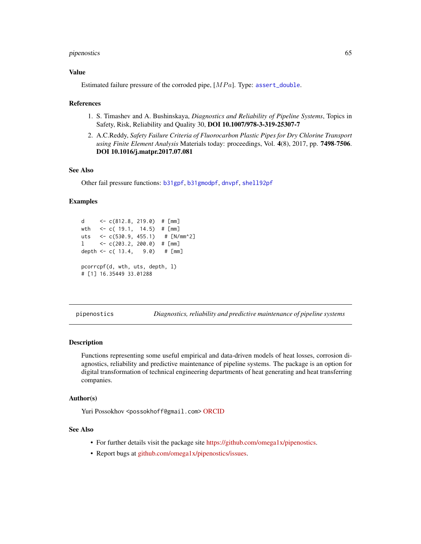### <span id="page-64-0"></span>pipenostics 65

### Value

Estimated failure pressure of the corroded pipe,  $[MPa]$ . Type: [assert\\_double](#page-0-0).

#### References

- 1. S. Timashev and A. Bushinskaya, *Diagnostics and Reliability of Pipeline Systems*, Topics in Safety, Risk, Reliability and Quality 30, DOI 10.1007/978-3-319-25307-7
- 2. A.C.Reddy, *Safety Failure Criteria of Fluorocarbon Plastic Pipes for Dry Chlorine Transport using Finite Element Analysis* Materials today: proceedings, Vol. 4(8), 2017, pp. 7498-7506. DOI 10.1016/j.matpr.2017.07.081

#### See Also

Other fail pressure functions: [b31gpf](#page-14-1), [b31gmodpf](#page-11-1), [dnvpf](#page-17-1), [shell92pf](#page-65-1)

#### Examples

```
d \leq \leq (812.8, 219.0) # [mm]
wth <- c( 19.1, 14.5) # [mm]
uts <- c(530.9, 455.1) # [N/mm^2]
l <- c(203.2, 200.0) # [mm]
depth <- c( 13.4, 9.0) # [mm]pcorrcpf(d, wth, uts, depth, l)
# [1] 16.35449 33.01288
```
pipenostics *Diagnostics, reliability and predictive maintenance of pipeline systems*

#### **Description**

Functions representing some useful empirical and data-driven models of heat losses, corrosion diagnostics, reliability and predictive maintenance of pipeline systems. The package is an option for digital transformation of technical engineering departments of heat generating and heat transferring companies.

#### Author(s)

Yuri Possokhov <possokhoff@gmail.com> [ORCID](http://orcid.org/0000-0002-3570-4337)

### See Also

- For further details visit the package site [https://github.com/omega1x/pipenostics.](https://github.com/omega1x/pipenostics)
- Report bugs at [github.com/omega1x/pipenostics/issues.](https://github.com/omega1x/pipenostics/issues)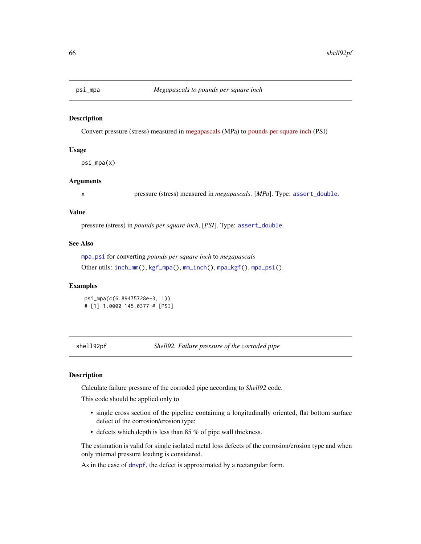<span id="page-65-2"></span><span id="page-65-0"></span>

### Description

Convert pressure (stress) measured in [megapascals](https://en.wikipedia.org/wiki/Pascal_(unit)) (MPa) to [pounds per square inch](https://en.wikipedia.org/wiki/Pounds_per_square_inch) (PSI)

### Usage

psi\_mpa(x)

#### Arguments

x pressure (stress) measured in *megapascals*. [*MPa*]. Type: [assert\\_double](#page-0-0).

### Value

pressure (stress) in *pounds per square inch*, [*PSI*]. Type: [assert\\_double](#page-0-0).

### See Also

[mpa\\_psi](#page-62-2) for converting *pounds per square inch* to *megapascals*

Other utils: [inch\\_mm\(](#page-26-1)), [kgf\\_mpa\(](#page-27-1)), [mm\\_inch\(](#page-61-1)), [mpa\\_kgf\(](#page-62-1)), [mpa\\_psi\(](#page-62-2))

### Examples

psi\_mpa(c(6.89475728e-3, 1)) # [1] 1.0000 145.0377 # [PSI]

<span id="page-65-1"></span>shell92pf *Shell92. Failure pressure of the corroded pipe*

#### **Description**

Calculate failure pressure of the corroded pipe according to *Shell92* code.

This code should be applied only to

- single cross section of the pipeline containing a longitudinally oriented, flat bottom surface defect of the corrosion/erosion type;
- defects which depth is less than 85 % of pipe wall thickness.

The estimation is valid for single isolated metal loss defects of the corrosion/erosion type and when only internal pressure loading is considered.

As in the case of [dnvpf](#page-17-1), the defect is approximated by a rectangular form.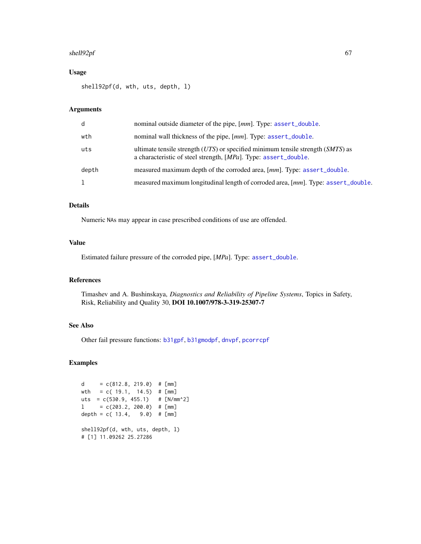### <span id="page-66-0"></span>shell92pf 67

### Usage

shell92pf(d, wth, uts, depth, l)

### Arguments

| d     | nominal outside diameter of the pipe, [mm]. Type: assert_double.                                                                                       |
|-------|--------------------------------------------------------------------------------------------------------------------------------------------------------|
| wth   | nominal wall thickness of the pipe, [mm]. Type: assert_double.                                                                                         |
| uts   | ultimate tensile strength $(UTS)$ or specified minimum tensile strength $(SMTS)$ as<br>a characteristic of steel strength, [MPa]. Type: assert_double. |
| depth | measured maximum depth of the corroded area, [mm]. Type: assert_double.                                                                                |
| ı     | measured maximum longitudinal length of corroded area, [mm]. Type: assert_double.                                                                      |

### Details

Numeric NAs may appear in case prescribed conditions of use are offended.

### Value

Estimated failure pressure of the corroded pipe, [*MPa*]. Type: [assert\\_double](#page-0-0).

### References

Timashev and A. Bushinskaya, *Diagnostics and Reliability of Pipeline Systems*, Topics in Safety, Risk, Reliability and Quality 30, DOI 10.1007/978-3-319-25307-7

### See Also

Other fail pressure functions: [b31gpf](#page-14-1), [b31gmodpf](#page-11-1), [dnvpf](#page-17-1), [pcorrcpf](#page-63-1)

### Examples

```
d = c(812.8, 219.0) # [mm]
wth = c( 19.1, 14.5) # [mm]uts = c(530.9, 455.1) # [N/mm^2]
1 = c(203.2, 200.0) # [mm]depth = c( 13.4, 9.0 ) # [mm]
shell92pf(d, wth, uts, depth, l)
# [1] 11.09262 25.27286
```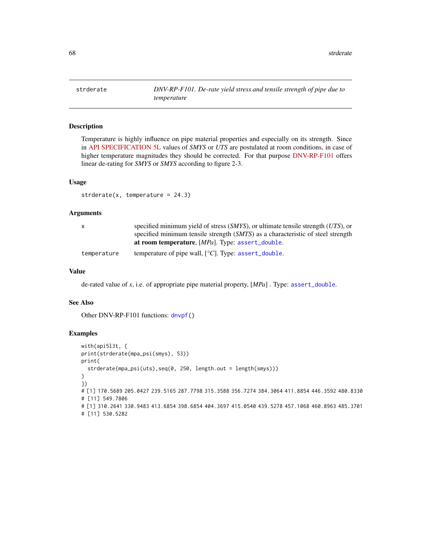<span id="page-67-1"></span><span id="page-67-0"></span>strderate *DNV-RP-F101. De-rate yield stress and tensile strength of pipe due to temperature*

### Description

Temperature is highly influence on pipe material properties and especially on its strength. Since in [API SPECIFICATION 5L](https://law.resource.org/pub/us/cfr/ibr/002/api.5l.2004.pdf) values of *SMYS* or *UTS* are postulated at room conditions, in case of higher temperature magnitudes they should be corrected. For that purpose [DNV-RP-F101](https://rules.dnvgl.com/docs/pdf/DNV/codes/docs/2010-10/RP-F101.pdf) offers linear de-rating for *SMYS* or *SMYS* according to figure 2-3.

### Usage

 $strderate(x, temperature = 24.3)$ 

#### Arguments

| X           | specified minimum yield of stress $(SMYS)$ , or ultimate tensile strength $(UTS)$ , or |
|-------------|----------------------------------------------------------------------------------------|
|             | specified minimum tensile strength (SMTS) as a characteristic of steel strength        |
|             | at room temperature, [ <i>MPa</i> ]. Type: assert_double.                              |
| temperature | temperature of pipe wall, $[°C]$ . Type: assert_double.                                |

### Value

de-rated value of *x*, i.e. of appropriate pipe material property, [*MPa*] . Type: [assert\\_double](#page-0-0).

#### See Also

Other DNV-RP-F101 functions: [dnvpf\(](#page-17-1))

#### Examples

```
with(api5l3t, {
print(strderate(mpa_psi(smys), 53))
print(
  strderate(mpa_psi(uts),seq(0, 250, length.out = length(smys)))
)
})
# [1] 170.5689 205.0427 239.5165 287.7798 315.3588 356.7274 384.3064 411.8854 446.3592 480.8330
# [11] 549.7806
# [1] 310.2641 330.9483 413.6854 398.6854 404.3697 415.0540 439.5278 457.1068 460.8963 485.3701
# [11] 530.5282
```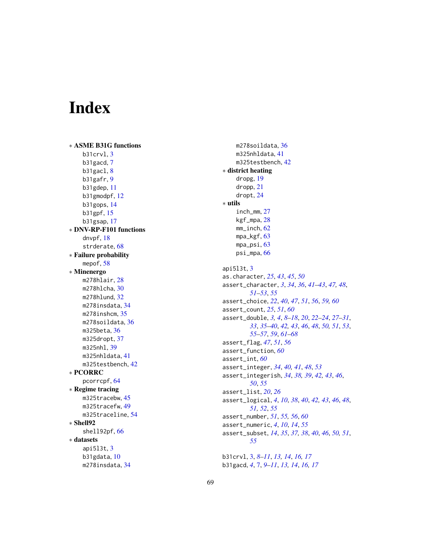# <span id="page-68-0"></span>Index

∗ ASME B31G functions b31crvl , [3](#page-2-0) b31gacd , [7](#page-6-0) b31gacl, [8](#page-7-0) b31gafr , [9](#page-8-0) b31gdep , [11](#page-10-0) b31gmodpf , [12](#page-11-0) b31gops , [14](#page-13-0) b31gpf , [15](#page-14-0) b31gsap , [17](#page-16-0) ∗ DNV-RP-F101 functions dnvpf , [18](#page-17-0) strderate, [68](#page-67-0) ∗ Failure probability mepof, [58](#page-57-0) ∗ Minenergo m278hlair , [28](#page-27-0) m278hlcha , [30](#page-29-0) m278hlund , [32](#page-31-0) m278insdata , [34](#page-33-0) m278inshcm , [35](#page-34-0) m278soildata, [36](#page-35-0) m325beta , [36](#page-35-0) m325dropt , [37](#page-36-0) m325nhl , [39](#page-38-0) m325nhldata , [41](#page-40-0) m325testbench, [42](#page-41-0) ∗ PCORRC pcorrcpf , [64](#page-63-0) ∗ Regime tracing m325tracebw, [45](#page-44-0) m325tracefw,[49](#page-48-0) m325traceline , [54](#page-53-0) ∗ Shell92 shell92pf , [66](#page-65-0) ∗ datasets api5l3t , [3](#page-2-0) b31gdata , [10](#page-9-0) m278insdata , [34](#page-33-0)

m278soildata, $36$ m325nhldata , [41](#page-40-0) m325testbench, [42](#page-41-0) ∗ district heating dropg , [19](#page-18-0) dropp , [21](#page-20-0) dropt , [24](#page-23-0) ∗ utils inch\_mm , [27](#page-26-0) kgf\_mpa , [28](#page-27-0) mm\_inch , [62](#page-61-0) mpa\_kgf , [63](#page-62-0) mpa\_psi , [63](#page-62-0) psi\_mpa , [66](#page-65-0) api5l3t , [3](#page-2-0) as.character , *[25](#page-24-0)* , *[43](#page-42-0)* , *[45](#page-44-0)* , *[50](#page-49-0)* assert\_character , *[3](#page-2-0)* , *[34](#page-33-0)* , *[36](#page-35-0)* , *[41](#page-40-0) [–43](#page-42-0)* , *[47,](#page-46-0) [48](#page-47-0)* , *[51](#page-50-0) [–53](#page-52-0)* , *[55](#page-54-0)* assert\_choice , *[22](#page-21-0)* , *[40](#page-39-0)* , *[47](#page-46-0)* , *[51](#page-50-0)* , *[56](#page-55-0)* , *[59](#page-58-0) , [60](#page-59-0)* assert\_count , *[25](#page-24-0)* , *[51](#page-50-0)* , *[60](#page-59-0)* assert\_double , *[3](#page-2-0) , [4](#page-3-0)* , *[8](#page-7-0) [–18](#page-17-0)* , *[20](#page-19-0)* , *[22](#page-21-0) [–24](#page-23-0)* , *[27](#page-26-0)[–31](#page-30-0)* , *[33](#page-32-0)* , *[35](#page-34-0) [–40](#page-39-0)* , *[42](#page-41-0) , [43](#page-42-0)* , *[46](#page-45-0)* , *[48](#page-47-0)* , *[50](#page-49-0) , [51](#page-50-0)* , *[53](#page-52-0)* , *[55](#page-54-0) [–57](#page-56-0)* , *[59](#page-58-0)* , *[61](#page-60-0) [–68](#page-67-0)* assert\_flag , *[47](#page-46-0)* , *[51](#page-50-0)* , *[56](#page-55-0)* assert\_function , *[60](#page-59-0)* assert\_int , *[60](#page-59-0)* assert\_integer , *[34](#page-33-0)* , *[40](#page-39-0) , [41](#page-40-0)* , *[48](#page-47-0)* , *[53](#page-52-0)* assert\_integerish , *[34](#page-33-0)* , *[38](#page-37-0) , [39](#page-38-0)* , *[42](#page-41-0) , [43](#page-42-0)* , *[46](#page-45-0)* , *[50](#page-49-0)* , *[55](#page-54-0)* assert\_list , *[20](#page-19-0)* , *[26](#page-25-0)* assert\_logical, [4](#page-3-0), [10](#page-9-0), [38](#page-37-0), [40](#page-39-0), [42](#page-41-0), [43](#page-42-0), [46](#page-45-0), [48](#page-47-0), *[51](#page-50-0) , [52](#page-51-0)* , *[55](#page-54-0)* assert\_number , *[51](#page-50-0)* , *[55](#page-54-0) , [56](#page-55-0)* , *[60](#page-59-0)* assert\_numeric , *[4](#page-3-0)* , *[10](#page-9-0)* , *[14](#page-13-0)* , *[55](#page-54-0)* assert\_subset, [14](#page-13-0), [35](#page-34-0), [37,](#page-36-0) [38](#page-37-0), [40](#page-39-0), [46](#page-45-0), [50](#page-49-0), [51](#page-50-0), *[55](#page-54-0)* b31crvl , [3](#page-2-0) , *[8](#page-7-0) [–11](#page-10-0)* , *[13](#page-12-0) , [14](#page-13-0)* , *[16,](#page-15-0) [17](#page-16-0)*

b31gacd , *[4](#page-3-0)* , [7](#page-6-0) , *[9](#page-8-0) [–11](#page-10-0)* , *[13](#page-12-0) , [14](#page-13-0)* , *[16,](#page-15-0) [17](#page-16-0)*